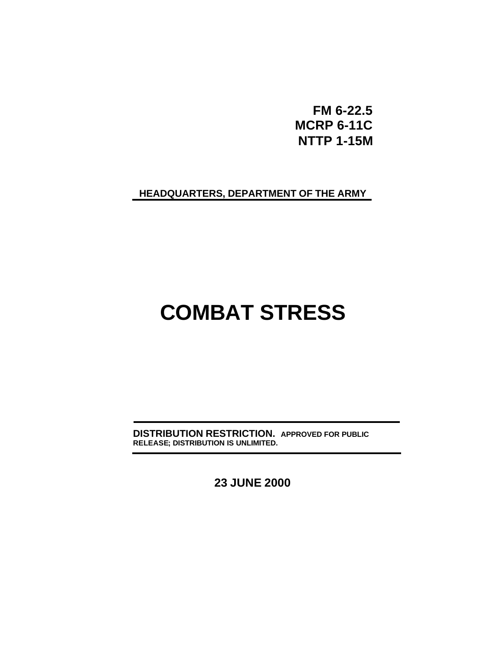**FM 6-22.5 MCRP 6-11C NTTP 1-15M**

**HEADQUARTERS, DEPARTMENT OF THE ARMY**

# **COMBAT STRESS**

**DISTRIBUTION RESTRICTION. APPROVED FOR PUBLIC RELEASE; DISTRIBUTION IS UNLIMITED.**

**23 JUNE 2000**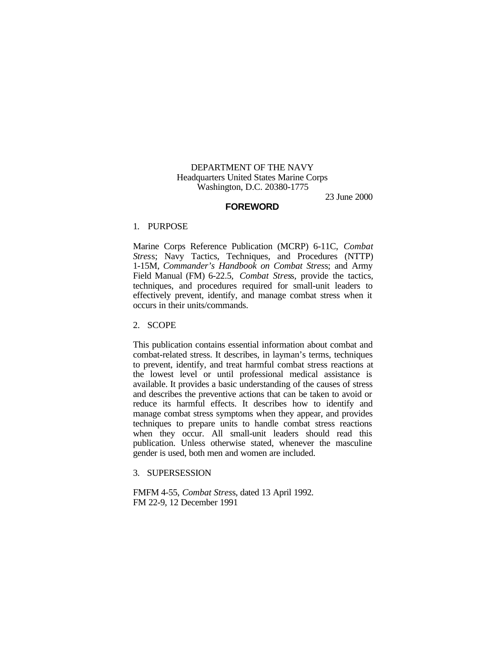## DEPARTMENT OF THE NAVY Headquarters United States Marine Corps Washington, D.C. 20380-1775

23 June 2000

#### **FOREWORD**

#### 1. PURPOSE

Marine Corps Reference Publication (MCRP) 6-11C, *Combat Stres*s; Navy Tactics, Techniques, and Procedures (NTTP) 1-15M, *Commander's Handbook on Combat Stres*s; and Army Field Manual (FM) 6-22.5, *Combat Stres*s, provide the tactics, techniques, and procedures required for small-unit leaders to effectively prevent, identify, and manage combat stress when it occurs in their units/commands.

#### 2. SCOPE

This publication contains essential information about combat and combat-related stress. It describes, in layman's terms, techniques to prevent, identify, and treat harmful combat stress reactions at the lowest level or until professional medical assistance is available. It provides a basic understanding of the causes of stress and describes the preventive actions that can be taken to avoid or reduce its harmful effects. It describes how to identify and manage combat stress symptoms when they appear, and provides techniques to prepare units to handle combat stress reactions when they occur. All small-unit leaders should read this publication. Unless otherwise stated, whenever the masculine gender is used, both men and women are included.

#### 3. SUPERSESSION

FMFM 4-55, *Combat Stres*s, dated 13 April 1992. FM 22-9, 12 December 1991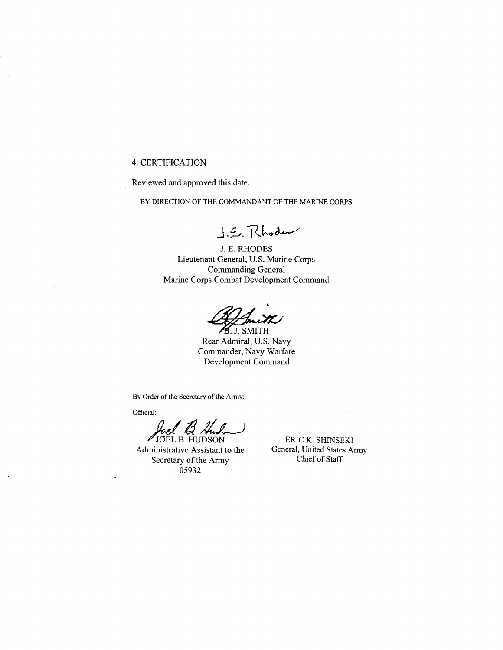# 4. CERTIFICATION

Reviewed and approved this date.

BY DIRECTION OF THE COMMANDANT OF THE MARINE CORPS

J.E. Rhodom

J. E. RHODES Lieutenant General, U.S. Marine Corps Commanding General Marine Corps Combat Development Command

S. J. SMITH Rear Admiral, U.S. Navy Commander, Navy Warfare Development Command

By Order of the Secretary of the Army:

Official:

B Hul JOEL B. HUDSON

Administrative Assistant to the Secretary of the Army 05932

ERIC K. SHINSEKI General, United States Army Chief of Staff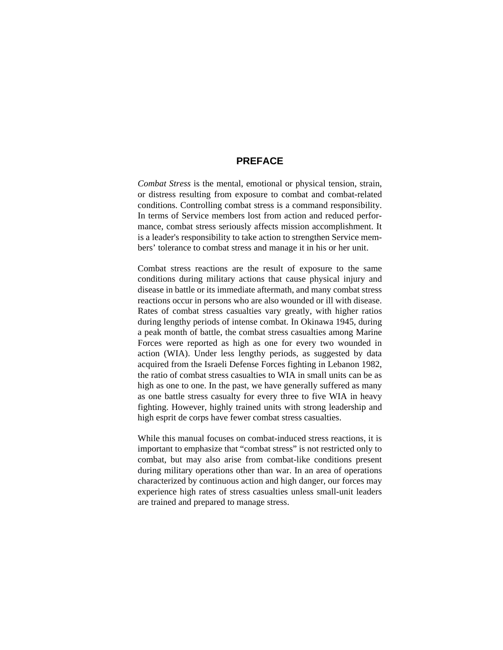### **PREFACE**

*Combat Stress* is the mental, emotional or physical tension, strain, or distress resulting from exposure to combat and combat-related conditions. Controlling combat stress is a command responsibility. In terms of Service members lost from action and reduced performance, combat stress seriously affects mission accomplishment. It is a leader's responsibility to take action to strengthen Service members' tolerance to combat stress and manage it in his or her unit.

Combat stress reactions are the result of exposure to the same conditions during military actions that cause physical injury and disease in battle or its immediate aftermath, and many combat stress reactions occur in persons who are also wounded or ill with disease. Rates of combat stress casualties vary greatly, with higher ratios during lengthy periods of intense combat. In Okinawa 1945, during a peak month of battle, the combat stress casualties among Marine Forces were reported as high as one for every two wounded in action (WIA). Under less lengthy periods, as suggested by data acquired from the Israeli Defense Forces fighting in Lebanon 1982, the ratio of combat stress casualties to WIA in small units can be as high as one to one. In the past, we have generally suffered as many as one battle stress casualty for every three to five WIA in heavy fighting. However, highly trained units with strong leadership and high esprit de corps have fewer combat stress casualties.

While this manual focuses on combat-induced stress reactions, it is important to emphasize that "combat stress" is not restricted only to combat, but may also arise from combat-like conditions present during military operations other than war. In an area of operations characterized by continuous action and high danger, our forces may experience high rates of stress casualties unless small-unit leaders are trained and prepared to manage stress.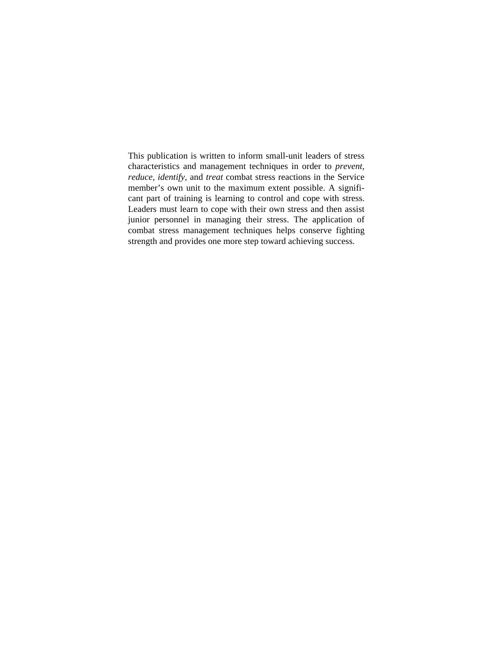This publication is written to inform small-unit leaders of stress characteristics and management techniques in order to *prevent, reduce, identify,* and *treat* combat stress reactions in the Service member's own unit to the maximum extent possible. A significant part of training is learning to control and cope with stress. Leaders must learn to cope with their own stress and then assist junior personnel in managing their stress. The application of combat stress management techniques helps conserve fighting strength and provides one more step toward achieving success.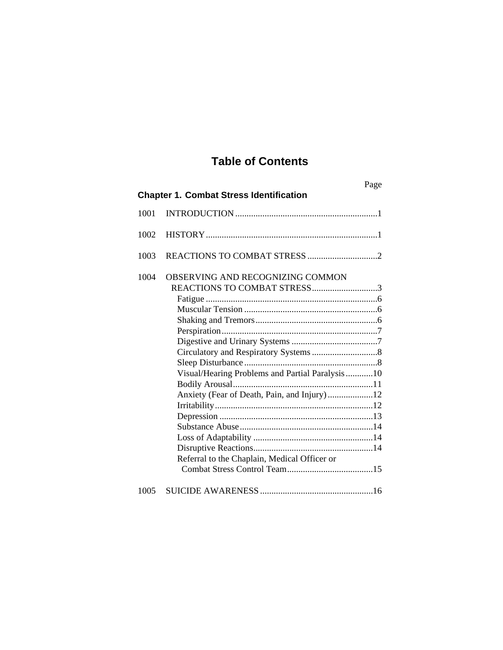# **Table of Contents**

|      | <b>Chapter 1. Combat Stress Identification</b>  | Page |
|------|-------------------------------------------------|------|
|      |                                                 |      |
| 1001 |                                                 |      |
| 1002 |                                                 |      |
| 1003 |                                                 |      |
| 1004 | OBSERVING AND RECOGNIZING COMMON                |      |
|      | REACTIONS TO COMBAT STRESS3                     |      |
|      |                                                 |      |
|      |                                                 |      |
|      |                                                 |      |
|      |                                                 |      |
|      |                                                 |      |
|      |                                                 |      |
|      |                                                 |      |
|      | Visual/Hearing Problems and Partial Paralysis10 |      |
|      |                                                 |      |
|      | Anxiety (Fear of Death, Pain, and Injury)12     |      |
|      |                                                 |      |
|      |                                                 |      |
|      |                                                 |      |
|      |                                                 |      |
|      |                                                 |      |
|      | Referral to the Chaplain, Medical Officer or    |      |
|      |                                                 |      |
| 1005 |                                                 |      |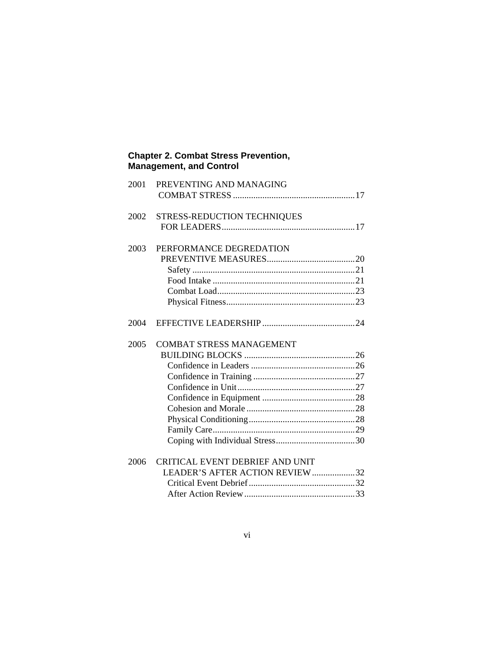### **Chapter 2. Combat Stress Prevention, Management, and Control**

| PREVENTING AND MANAGING                |  |
|----------------------------------------|--|
|                                        |  |
| STRESS-REDUCTION TECHNIQUES            |  |
|                                        |  |
| PERFORMANCE DEGREDATION                |  |
|                                        |  |
|                                        |  |
|                                        |  |
|                                        |  |
|                                        |  |
|                                        |  |
| <b>COMBAT STRESS MANAGEMENT</b>        |  |
|                                        |  |
|                                        |  |
|                                        |  |
|                                        |  |
|                                        |  |
|                                        |  |
|                                        |  |
|                                        |  |
|                                        |  |
| <b>CRITICAL EVENT DEBRIEF AND UNIT</b> |  |
| LEADER'S AFTER ACTION REVIEW 32        |  |
|                                        |  |
|                                        |  |
|                                        |  |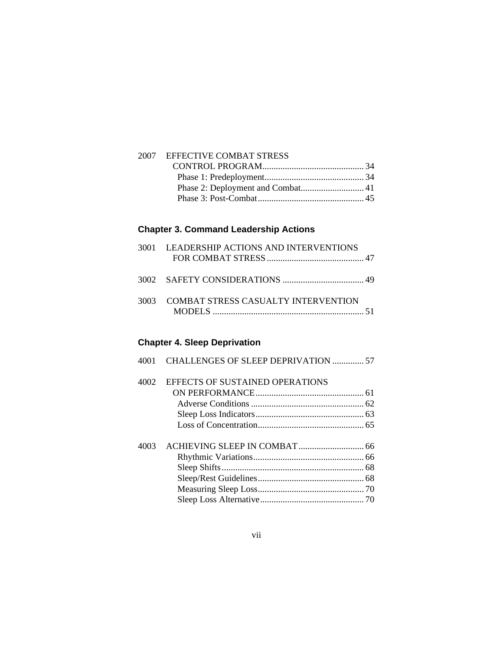| 2007 EFFECTIVE COMBAT STRESS |  |
|------------------------------|--|
|                              |  |
|                              |  |
|                              |  |
|                              |  |
|                              |  |

# **Chapter 3. Command Leadership Actions**

| 3001 LEADERSHIP ACTIONS AND INTERVENTIONS |  |
|-------------------------------------------|--|
|                                           |  |
| 3003 COMBAT STRESS CASUALTY INTERVENTION  |  |

# **Chapter 4. Sleep Deprivation**

| 4001 | CHALLENGES OF SLEEP DEPRIVATION  57 |  |
|------|-------------------------------------|--|
| 4002 | EFFECTS OF SUSTAINED OPERATIONS     |  |
|      |                                     |  |
|      |                                     |  |
|      |                                     |  |
|      |                                     |  |
| 4003 |                                     |  |
|      |                                     |  |
|      |                                     |  |
|      |                                     |  |
|      |                                     |  |
|      |                                     |  |
|      |                                     |  |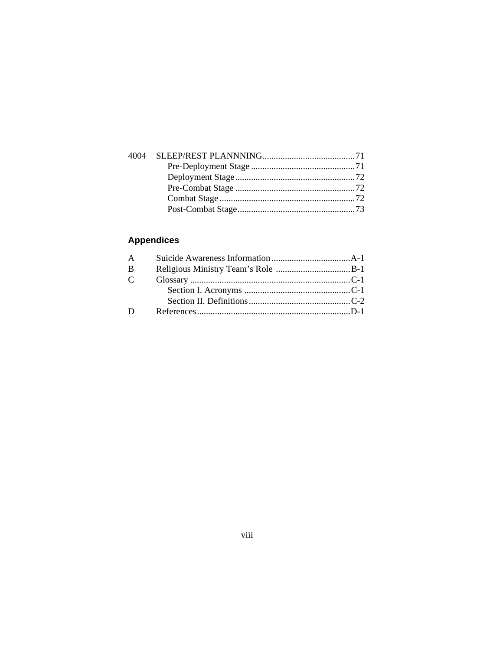# **Appendices**

| $\mathbf{A}$ |  |
|--------------|--|
| B            |  |
| $\mathsf{C}$ |  |
|              |  |
|              |  |
| D            |  |
|              |  |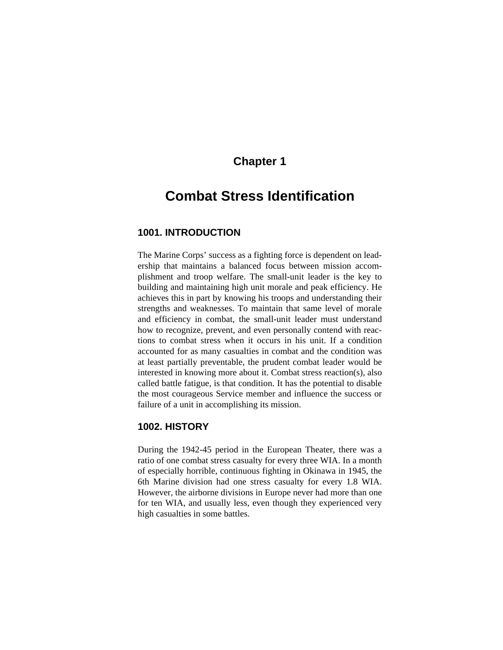# **Chapter 1**

# **Combat Stress Identification**

# **1001. INTRODUCTION**

The Marine Corps' success as a fighting force is dependent on leadership that maintains a balanced focus between mission accomplishment and troop welfare. The small-unit leader is the key to building and maintaining high unit morale and peak efficiency. He achieves this in part by knowing his troops and understanding their strengths and weaknesses. To maintain that same level of morale and efficiency in combat, the small-unit leader must understand how to recognize, prevent, and even personally contend with reactions to combat stress when it occurs in his unit. If a condition accounted for as many casualties in combat and the condition was at least partially preventable, the prudent combat leader would be interested in knowing more about it. Combat stress reaction(s), also called battle fatigue, is that condition. It has the potential to disable the most courageous Service member and influence the success or failure of a unit in accomplishing its mission.

## **1002. HISTORY**

During the 1942-45 period in the European Theater, there was a ratio of one combat stress casualty for every three WIA. In a month of especially horrible, continuous fighting in Okinawa in 1945, the 6th Marine division had one stress casualty for every 1.8 WIA. However, the airborne divisions in Europe never had more than one for ten WIA, and usually less, even though they experienced very high casualties in some battles.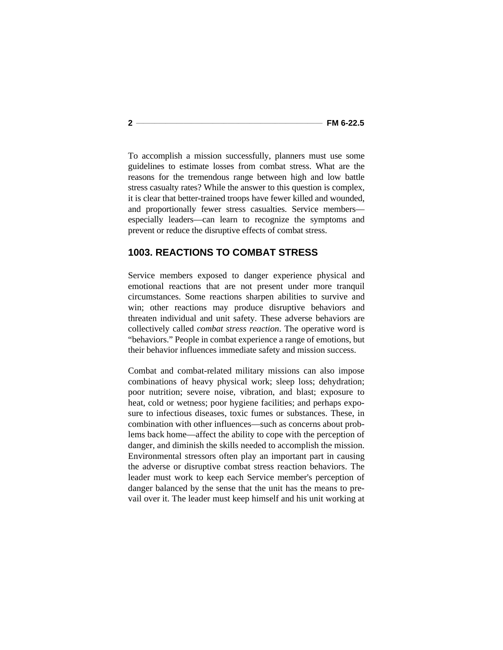To accomplish a mission successfully, planners must use some guidelines to estimate losses from combat stress. What are the reasons for the tremendous range between high and low battle stress casualty rates? While the answer to this question is complex, it is clear that better-trained troops have fewer killed and wounded, and proportionally fewer stress casualties. Service members especially leaders—can learn to recognize the symptoms and prevent or reduce the disruptive effects of combat stress.

# **1003. REACTIONS TO COMBAT STRESS**

Service members exposed to danger experience physical and emotional reactions that are not present under more tranquil circumstances. Some reactions sharpen abilities to survive and win; other reactions may produce disruptive behaviors and threaten individual and unit safety. These adverse behaviors are collectively called *combat stress reaction*. The operative word is "behaviors." People in combat experience a range of emotions, but their behavior influences immediate safety and mission success.

Combat and combat-related military missions can also impose combinations of heavy physical work; sleep loss; dehydration; poor nutrition; severe noise, vibration, and blast; exposure to heat, cold or wetness; poor hygiene facilities; and perhaps exposure to infectious diseases, toxic fumes or substances. These, in combination with other influences—such as concerns about problems back home—affect the ability to cope with the perception of danger, and diminish the skills needed to accomplish the mission. Environmental stressors often play an important part in causing the adverse or disruptive combat stress reaction behaviors. The leader must work to keep each Service member's perception of danger balanced by the sense that the unit has the means to prevail over it. The leader must keep himself and his unit working at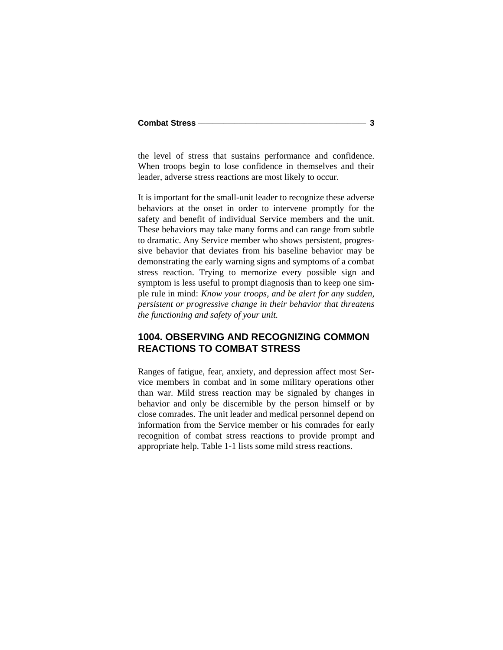the level of stress that sustains performance and confidence. When troops begin to lose confidence in themselves and their leader, adverse stress reactions are most likely to occur.

It is important for the small-unit leader to recognize these adverse behaviors at the onset in order to intervene promptly for the safety and benefit of individual Service members and the unit. These behaviors may take many forms and can range from subtle to dramatic. Any Service member who shows persistent, progressive behavior that deviates from his baseline behavior may be demonstrating the early warning signs and symptoms of a combat stress reaction. Trying to memorize every possible sign and symptom is less useful to prompt diagnosis than to keep one simple rule in mind: *Know your troops, and be alert for any sudden, persistent or progressive change in their behavior that threatens the functioning and safety of your unit.*

# **1004. OBSERVING AND RECOGNIZING COMMON REACTIONS TO COMBAT STRESS**

Ranges of fatigue, fear, anxiety, and depression affect most Service members in combat and in some military operations other than war. Mild stress reaction may be signaled by changes in behavior and only be discernible by the person himself or by close comrades. The unit leader and medical personnel depend on information from the Service member or his comrades for early recognition of combat stress reactions to provide prompt and appropriate help. Table 1-1 lists some mild stress reactions.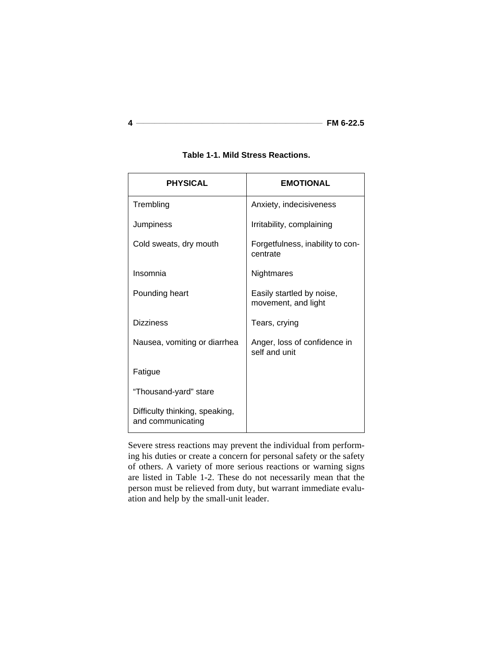| <b>PHYSICAL</b>                                     | <b>EMOTIONAL</b>                                 |
|-----------------------------------------------------|--------------------------------------------------|
| Trembling                                           | Anxiety, indecisiveness                          |
| Jumpiness                                           | Irritability, complaining                        |
| Cold sweats, dry mouth                              | Forgetfulness, inability to con-<br>centrate     |
| Insomnia                                            | Nightmares                                       |
| Pounding heart                                      | Easily startled by noise,<br>movement, and light |
| <b>Dizziness</b>                                    | Tears, crying                                    |
| Nausea, vomiting or diarrhea                        | Anger, loss of confidence in<br>self and unit    |
| Fatigue                                             |                                                  |
| "Thousand-yard" stare                               |                                                  |
| Difficulty thinking, speaking,<br>and communicating |                                                  |

# **Table 1-1. Mild Stress Reactions.**

Severe stress reactions may prevent the individual from performing his duties or create a concern for personal safety or the safety of others. A variety of more serious reactions or warning signs are listed in Table 1-2. These do not necessarily mean that the person must be relieved from duty, but warrant immediate evaluation and help by the small-unit leader.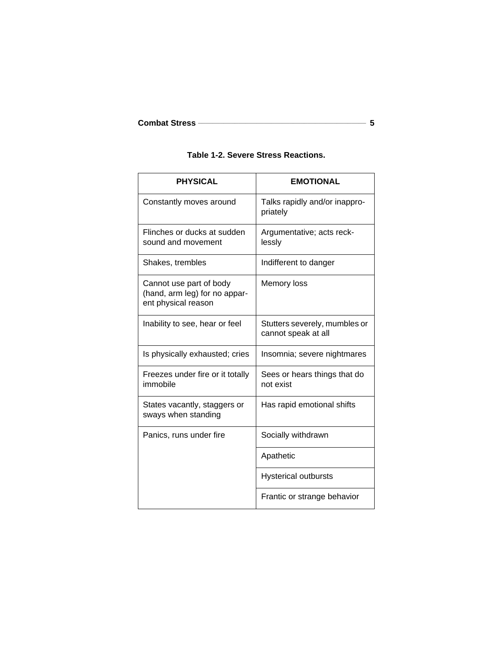| <b>PHYSICAL</b>                                                                 | <b>EMOTIONAL</b>                                     |
|---------------------------------------------------------------------------------|------------------------------------------------------|
| Constantly moves around                                                         | Talks rapidly and/or inappro-<br>priately            |
| Flinches or ducks at sudden<br>sound and movement                               | Argumentative; acts reck-<br>lessly                  |
| Shakes, trembles                                                                | Indifferent to danger                                |
| Cannot use part of body<br>(hand, arm leg) for no appar-<br>ent physical reason | Memory loss                                          |
| Inability to see, hear or feel                                                  | Stutters severely, mumbles or<br>cannot speak at all |
| Is physically exhausted; cries                                                  | Insomnia; severe nightmares                          |
| Freezes under fire or it totally<br>immobile                                    | Sees or hears things that do<br>not exist            |
| States vacantly, staggers or<br>sways when standing                             | Has rapid emotional shifts                           |
| Panics, runs under fire                                                         | Socially withdrawn                                   |
|                                                                                 | Apathetic                                            |
|                                                                                 | <b>Hysterical outbursts</b>                          |
|                                                                                 | Frantic or strange behavior                          |

# **Table 1-2. Severe Stress Reactions.**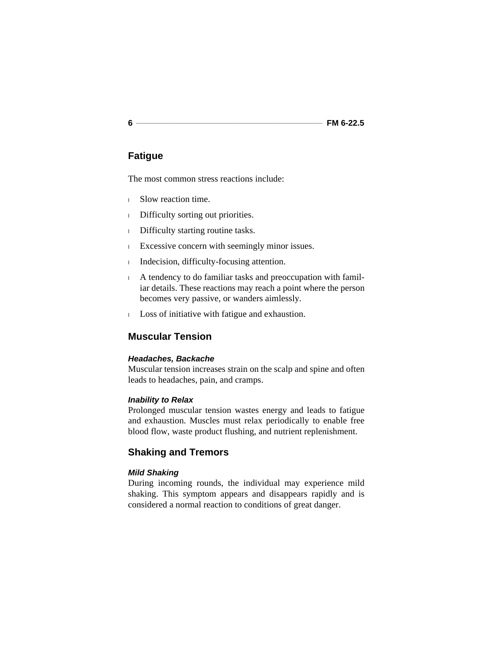# **Fatigue**

The most common stress reactions include:

- <sup>l</sup> Slow reaction time.
- <sup>l</sup> Difficulty sorting out priorities.
- <sup>l</sup> Difficulty starting routine tasks.
- <sup>l</sup> Excessive concern with seemingly minor issues.
- <sup>l</sup> Indecision, difficulty-focusing attention.
- <sup>l</sup> A tendency to do familiar tasks and preoccupation with familiar details. These reactions may reach a point where the person becomes very passive, or wanders aimlessly.
- <sup>l</sup> Loss of initiative with fatigue and exhaustion.

# **Muscular Tension**

#### *Headaches, Backache*

Muscular tension increases strain on the scalp and spine and often leads to headaches, pain, and cramps.

#### *Inability to Relax*

Prolonged muscular tension wastes energy and leads to fatigue and exhaustion. Muscles must relax periodically to enable free blood flow, waste product flushing, and nutrient replenishment.

# **Shaking and Tremors**

#### *Mild Shaking*

During incoming rounds, the individual may experience mild shaking. This symptom appears and disappears rapidly and is considered a normal reaction to conditions of great danger.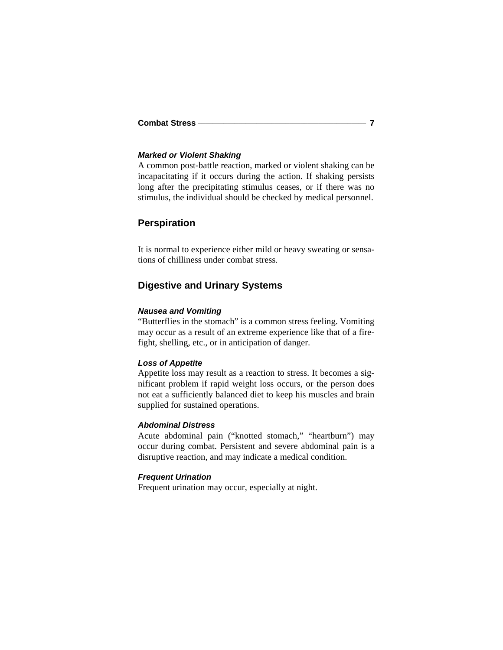#### **Combat Stress \_\_\_\_\_\_\_\_\_\_\_\_\_\_\_\_\_\_\_\_\_\_\_\_\_\_\_\_\_\_\_\_\_\_\_\_\_\_\_\_\_\_\_\_\_\_ 7**

#### *Marked or Violent Shaking*

A common post-battle reaction, marked or violent shaking can be incapacitating if it occurs during the action. If shaking persists long after the precipitating stimulus ceases, or if there was no stimulus, the individual should be checked by medical personnel.

# **Perspiration**

It is normal to experience either mild or heavy sweating or sensations of chilliness under combat stress.

# **Digestive and Urinary Systems**

## *Nausea and Vomiting*

"Butterflies in the stomach" is a common stress feeling. Vomiting may occur as a result of an extreme experience like that of a firefight, shelling, etc., or in anticipation of danger.

#### *Loss of Appetite*

Appetite loss may result as a reaction to stress. It becomes a significant problem if rapid weight loss occurs, or the person does not eat a sufficiently balanced diet to keep his muscles and brain supplied for sustained operations.

#### *Abdominal Distress*

Acute abdominal pain ("knotted stomach," "heartburn") may occur during combat. Persistent and severe abdominal pain is a disruptive reaction, and may indicate a medical condition.

#### *Frequent Urination*

Frequent urination may occur, especially at night.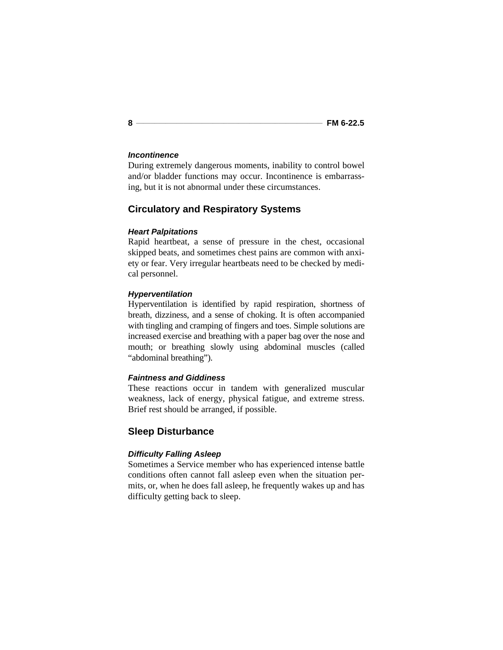#### *Incontinence*

During extremely dangerous moments, inability to control bowel and/or bladder functions may occur. Incontinence is embarrassing, but it is not abnormal under these circumstances.

# **Circulatory and Respiratory Systems**

#### *Heart Palpitations*

Rapid heartbeat, a sense of pressure in the chest, occasional skipped beats, and sometimes chest pains are common with anxiety or fear. Very irregular heartbeats need to be checked by medical personnel.

#### *Hyperventilation*

Hyperventilation is identified by rapid respiration, shortness of breath, dizziness, and a sense of choking. It is often accompanied with tingling and cramping of fingers and toes. Simple solutions are increased exercise and breathing with a paper bag over the nose and mouth; or breathing slowly using abdominal muscles (called "abdominal breathing").

#### *Faintness and Giddiness*

These reactions occur in tandem with generalized muscular weakness, lack of energy, physical fatigue, and extreme stress. Brief rest should be arranged, if possible.

## **Sleep Disturbance**

#### *Difficulty Falling Asleep*

Sometimes a Service member who has experienced intense battle conditions often cannot fall asleep even when the situation permits, or, when he does fall asleep, he frequently wakes up and has difficulty getting back to sleep.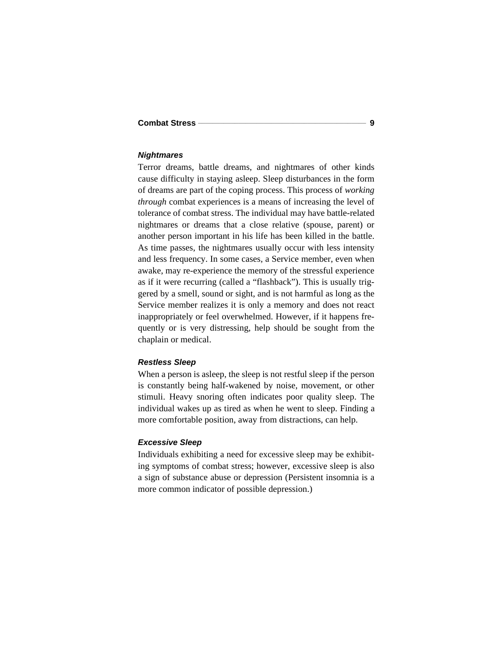#### *Nightmares*

Terror dreams, battle dreams, and nightmares of other kinds cause difficulty in staying asleep. Sleep disturbances in the form of dreams are part of the coping process. This process of *working through* combat experiences is a means of increasing the level of tolerance of combat stress. The individual may have battle-related nightmares or dreams that a close relative (spouse, parent) or another person important in his life has been killed in the battle. As time passes, the nightmares usually occur with less intensity and less frequency. In some cases, a Service member, even when awake, may re-experience the memory of the stressful experience as if it were recurring (called a "flashback"). This is usually triggered by a smell, sound or sight, and is not harmful as long as the Service member realizes it is only a memory and does not react inappropriately or feel overwhelmed. However, if it happens frequently or is very distressing, help should be sought from the chaplain or medical.

#### *Restless Sleep*

When a person is asleep, the sleep is not restful sleep if the person is constantly being half-wakened by noise, movement, or other stimuli. Heavy snoring often indicates poor quality sleep. The individual wakes up as tired as when he went to sleep. Finding a more comfortable position, away from distractions, can help.

# *Excessive Sleep*

Individuals exhibiting a need for excessive sleep may be exhibiting symptoms of combat stress; however, excessive sleep is also a sign of substance abuse or depression (Persistent insomnia is a more common indicator of possible depression.)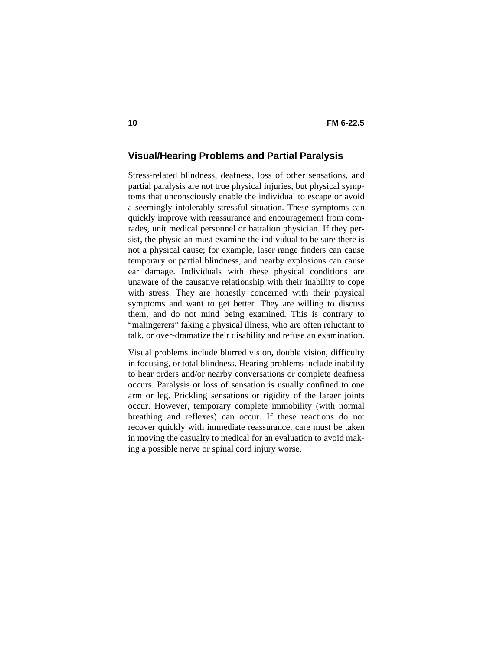# **Visual/Hearing Problems and Partial Paralysis**

Stress-related blindness, deafness, loss of other sensations, and partial paralysis are not true physical injuries, but physical symptoms that unconsciously enable the individual to escape or avoid a seemingly intolerably stressful situation. These symptoms can quickly improve with reassurance and encouragement from comrades, unit medical personnel or battalion physician. If they persist, the physician must examine the individual to be sure there is not a physical cause; for example, laser range finders can cause temporary or partial blindness, and nearby explosions can cause ear damage. Individuals with these physical conditions are unaware of the causative relationship with their inability to cope with stress. They are honestly concerned with their physical symptoms and want to get better. They are willing to discuss them, and do not mind being examined. This is contrary to "malingerers" faking a physical illness, who are often reluctant to talk, or over-dramatize their disability and refuse an examination.

Visual problems include blurred vision, double vision, difficulty in focusing, or total blindness. Hearing problems include inability to hear orders and/or nearby conversations or complete deafness occurs. Paralysis or loss of sensation is usually confined to one arm or leg. Prickling sensations or rigidity of the larger joints occur. However, temporary complete immobility (with normal breathing and reflexes) can occur. If these reactions do not recover quickly with immediate reassurance, care must be taken in moving the casualty to medical for an evaluation to avoid making a possible nerve or spinal cord injury worse.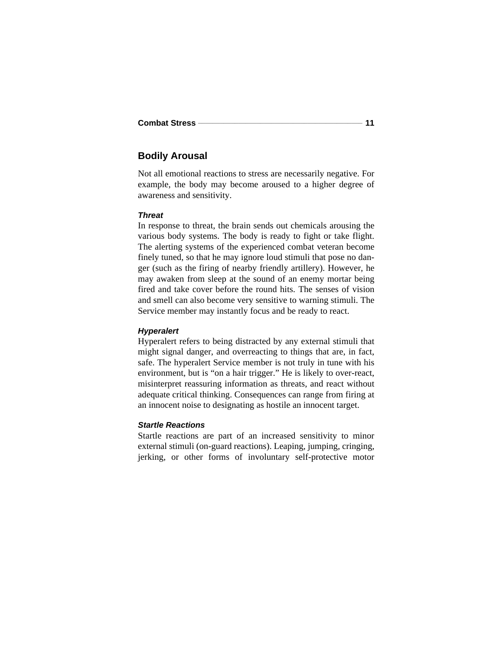# **Bodily Arousal**

Not all emotional reactions to stress are necessarily negative. For example, the body may become aroused to a higher degree of awareness and sensitivity.

#### *Threat*

In response to threat, the brain sends out chemicals arousing the various body systems. The body is ready to fight or take flight. The alerting systems of the experienced combat veteran become finely tuned, so that he may ignore loud stimuli that pose no danger (such as the firing of nearby friendly artillery). However, he may awaken from sleep at the sound of an enemy mortar being fired and take cover before the round hits. The senses of vision and smell can also become very sensitive to warning stimuli. The Service member may instantly focus and be ready to react.

#### *Hyperalert*

Hyperalert refers to being distracted by any external stimuli that might signal danger, and overreacting to things that are, in fact, safe. The hyperalert Service member is not truly in tune with his environment, but is "on a hair trigger." He is likely to over-react, misinterpret reassuring information as threats, and react without adequate critical thinking. Consequences can range from firing at an innocent noise to designating as hostile an innocent target.

## *Startle Reactions*

Startle reactions are part of an increased sensitivity to minor external stimuli (on-guard reactions). Leaping, jumping, cringing, jerking, or other forms of involuntary self-protective motor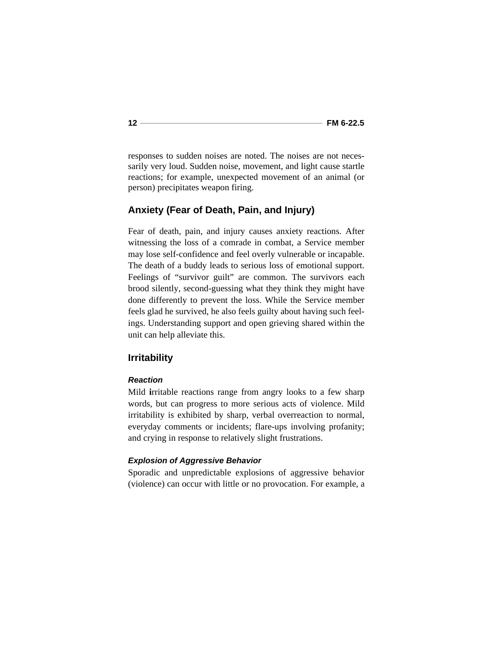responses to sudden noises are noted. The noises are not necessarily very loud. Sudden noise, movement, and light cause startle reactions; for example, unexpected movement of an animal (or person) precipitates weapon firing.

## **Anxiety (Fear of Death, Pain, and Injury)**

Fear of death, pain, and injury causes anxiety reactions. After witnessing the loss of a comrade in combat, a Service member may lose self-confidence and feel overly vulnerable or incapable. The death of a buddy leads to serious loss of emotional support. Feelings of "survivor guilt" are common. The survivors each brood silently, second-guessing what they think they might have done differently to prevent the loss. While the Service member feels glad he survived, he also feels guilty about having such feelings. Understanding support and open grieving shared within the unit can help alleviate this.

#### **Irritability**

### *Reaction*

Mild **i**rritable reactions range from angry looks to a few sharp words, but can progress to more serious acts of violence. Mild irritability is exhibited by sharp, verbal overreaction to normal, everyday comments or incidents; flare-ups involving profanity; and crying in response to relatively slight frustrations.

# *Explosion of Aggressive Behavior*

Sporadic and unpredictable explosions of aggressive behavior (violence) can occur with little or no provocation. For example, a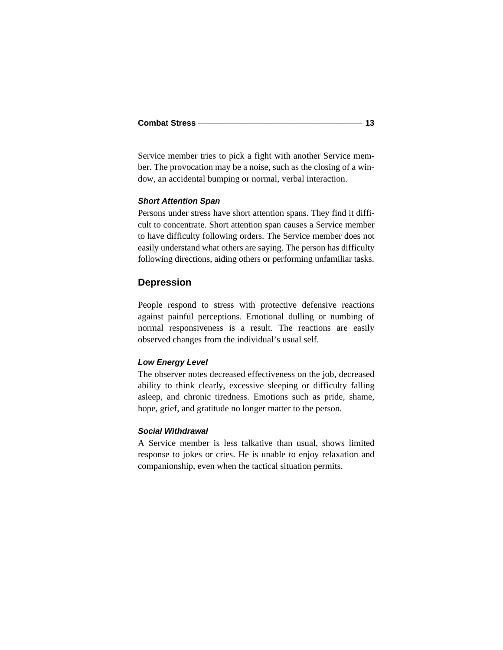#### **Combat Stress \_\_\_\_\_\_\_\_\_\_\_\_\_\_\_\_\_\_\_\_\_\_\_\_\_\_\_\_\_\_\_\_\_\_\_\_\_\_\_\_\_\_\_\_\_ 13**

Service member tries to pick a fight with another Service member. The provocation may be a noise, such as the closing of a window, an accidental bumping or normal, verbal interaction.

#### *Short Attention Span*

Persons under stress have short attention spans. They find it difficult to concentrate. Short attention span causes a Service member to have difficulty following orders. The Service member does not easily understand what others are saying. The person has difficulty following directions, aiding others or performing unfamiliar tasks.

#### **Depression**

People respond to stress with protective defensive reactions against painful perceptions. Emotional dulling or numbing of normal responsiveness is a result. The reactions are easily observed changes from the individual's usual self.

#### *Low Energy Level*

The observer notes decreased effectiveness on the job, decreased ability to think clearly, excessive sleeping or difficulty falling asleep, and chronic tiredness. Emotions such as pride, shame, hope, grief, and gratitude no longer matter to the person.

#### *Social Withdrawal*

A Service member is less talkative than usual, shows limited response to jokes or cries. He is unable to enjoy relaxation and companionship, even when the tactical situation permits.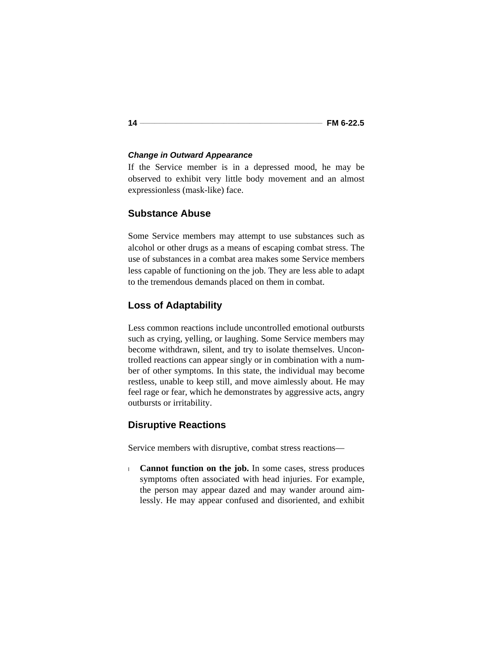#### *Change in Outward Appearance*

If the Service member is in a depressed mood, he may be observed to exhibit very little body movement and an almost expressionless (mask-like) face.

# **Substance Abuse**

Some Service members may attempt to use substances such as alcohol or other drugs as a means of escaping combat stress. The use of substances in a combat area makes some Service members less capable of functioning on the job. They are less able to adapt to the tremendous demands placed on them in combat.

## **Loss of Adaptability**

Less common reactions include uncontrolled emotional outbursts such as crying, yelling, or laughing. Some Service members may become withdrawn, silent, and try to isolate themselves. Uncontrolled reactions can appear singly or in combination with a number of other symptoms. In this state, the individual may become restless, unable to keep still, and move aimlessly about. He may feel rage or fear, which he demonstrates by aggressive acts, angry outbursts or irritability.

## **Disruptive Reactions**

Service members with disruptive, combat stress reactions—

<sup>l</sup> **Cannot function on the job.** In some cases, stress produces symptoms often associated with head injuries. For example, the person may appear dazed and may wander around aimlessly. He may appear confused and disoriented, and exhibit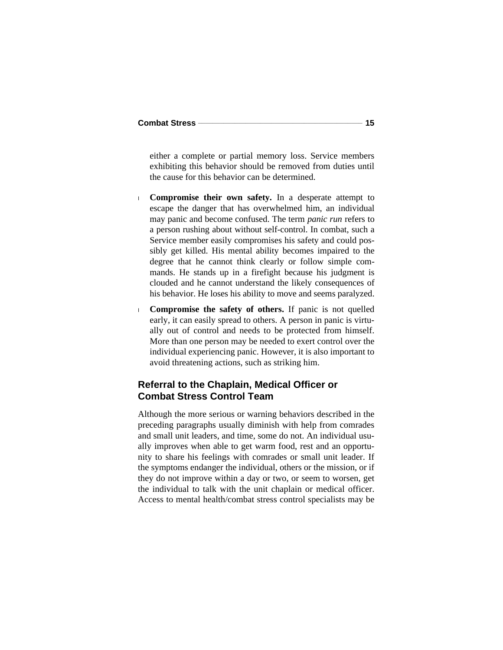either a complete or partial memory loss. Service members exhibiting this behavior should be removed from duties until the cause for this behavior can be determined.

- <sup>l</sup> **Compromise their own safety.** In a desperate attempt to escape the danger that has overwhelmed him, an individual may panic and become confused. The term *panic run* refers to a person rushing about without self-control. In combat, such a Service member easily compromises his safety and could possibly get killed. His mental ability becomes impaired to the degree that he cannot think clearly or follow simple commands. He stands up in a firefight because his judgment is clouded and he cannot understand the likely consequences of his behavior. He loses his ability to move and seems paralyzed.
- <sup>l</sup> **Compromise the safety of others.** If panic is not quelled early, it can easily spread to others. A person in panic is virtually out of control and needs to be protected from himself. More than one person may be needed to exert control over the individual experiencing panic. However, it is also important to avoid threatening actions, such as striking him.

# **Referral to the Chaplain, Medical Officer or Combat Stress Control Team**

Although the more serious or warning behaviors described in the preceding paragraphs usually diminish with help from comrades and small unit leaders, and time, some do not. An individual usually improves when able to get warm food, rest and an opportunity to share his feelings with comrades or small unit leader. If the symptoms endanger the individual, others or the mission, or if they do not improve within a day or two, or seem to worsen, get the individual to talk with the unit chaplain or medical officer. Access to mental health/combat stress control specialists may be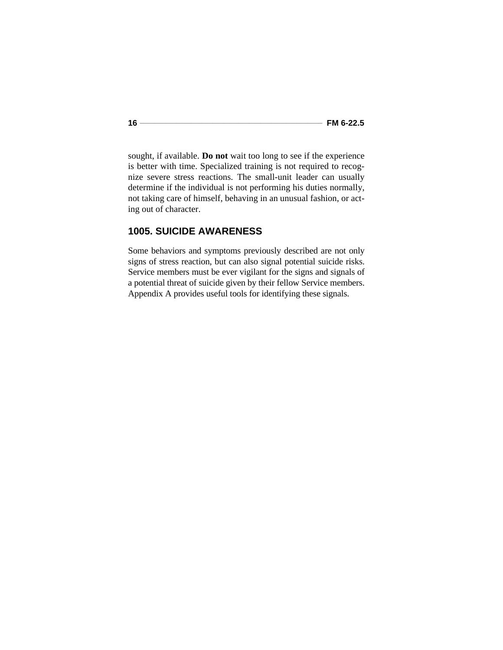sought, if available. **Do not** wait too long to see if the experience is better with time. Specialized training is not required to recognize severe stress reactions. The small-unit leader can usually determine if the individual is not performing his duties normally, not taking care of himself, behaving in an unusual fashion, or acting out of character.

# **1005. SUICIDE AWARENESS**

Some behaviors and symptoms previously described are not only signs of stress reaction, but can also signal potential suicide risks. Service members must be ever vigilant for the signs and signals of a potential threat of suicide given by their fellow Service members. Appendix A provides useful tools for identifying these signals.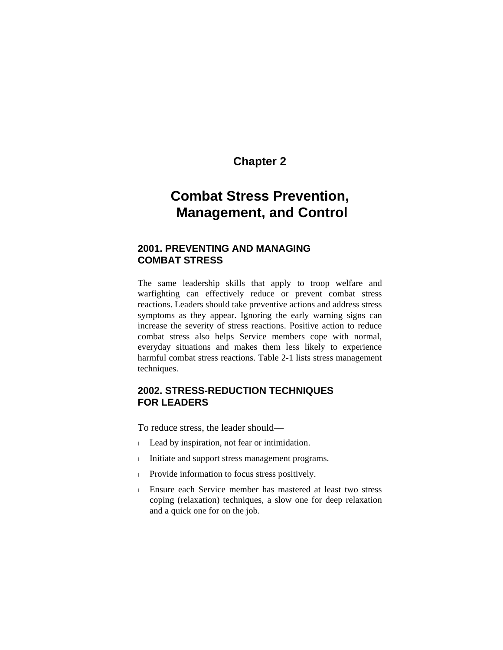# **Chapter 2**

# **Combat Stress Prevention, Management, and Control**

# **2001. PREVENTING AND MANAGING COMBAT STRESS**

The same leadership skills that apply to troop welfare and warfighting can effectively reduce or prevent combat stress reactions. Leaders should take preventive actions and address stress symptoms as they appear. Ignoring the early warning signs can increase the severity of stress reactions. Positive action to reduce combat stress also helps Service members cope with normal, everyday situations and makes them less likely to experience harmful combat stress reactions. Table 2-1 lists stress management techniques.

# **2002. STRESS-REDUCTION TECHNIQUES FOR LEADERS**

To reduce stress, the leader should—

- <sup>l</sup> Lead by inspiration, not fear or intimidation.
- Initiate and support stress management programs.
- <sup>l</sup> Provide information to focus stress positively.
- <sup>l</sup> Ensure each Service member has mastered at least two stress coping (relaxation) techniques, a slow one for deep relaxation and a quick one for on the job.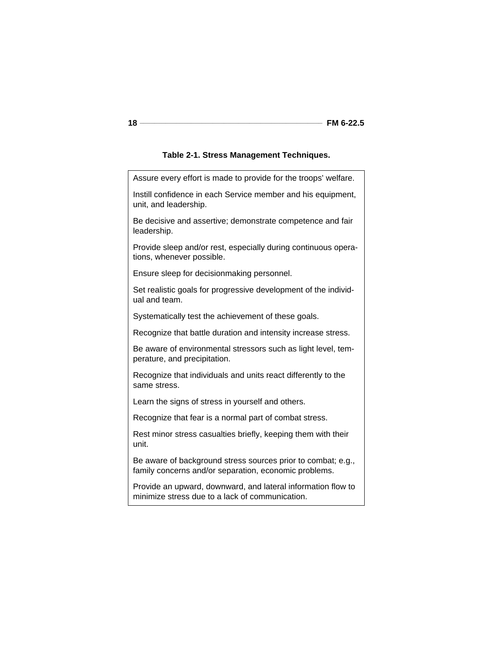# **Table 2-1. Stress Management Techniques.**

| Assure every effort is made to provide for the troops' welfare.                                                       |
|-----------------------------------------------------------------------------------------------------------------------|
| Instill confidence in each Service member and his equipment,<br>unit, and leadership.                                 |
| Be decisive and assertive; demonstrate competence and fair<br>leadership.                                             |
| Provide sleep and/or rest, especially during continuous opera-<br>tions, whenever possible.                           |
| Ensure sleep for decisionmaking personnel.                                                                            |
| Set realistic goals for progressive development of the individ-<br>ual and team.                                      |
| Systematically test the achievement of these goals.                                                                   |
| Recognize that battle duration and intensity increase stress.                                                         |
| Be aware of environmental stressors such as light level, tem-<br>perature, and precipitation.                         |
| Recognize that individuals and units react differently to the<br>same stress.                                         |
| Learn the signs of stress in yourself and others.                                                                     |
| Recognize that fear is a normal part of combat stress.                                                                |
| Rest minor stress casualties briefly, keeping them with their<br>unit.                                                |
| Be aware of background stress sources prior to combat; e.g.,<br>family concerns and/or separation, economic problems. |
| Provide an upward, downward, and lateral information flow to<br>minimize stress due to a lack of communication.       |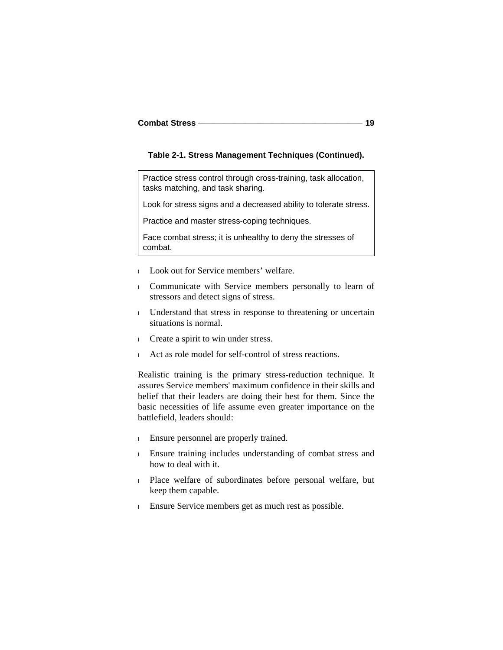#### **Table 2-1. Stress Management Techniques (Continued).**

Practice stress control through cross-training, task allocation, tasks matching, and task sharing.

Look for stress signs and a decreased ability to tolerate stress.

Practice and master stress-coping techniques.

Face combat stress; it is unhealthy to deny the stresses of combat.

- <sup>l</sup> Look out for Service members' welfare.
- <sup>l</sup> Communicate with Service members personally to learn of stressors and detect signs of stress.
- <sup>l</sup> Understand that stress in response to threatening or uncertain situations is normal.
- <sup>l</sup> Create a spirit to win under stress.
- <sup>l</sup> Act as role model for self-control of stress reactions.

Realistic training is the primary stress-reduction technique. It assures Service members' maximum confidence in their skills and belief that their leaders are doing their best for them. Since the basic necessities of life assume even greater importance on the battlefield, leaders should:

- <sup>l</sup> Ensure personnel are properly trained.
- <sup>l</sup> Ensure training includes understanding of combat stress and how to deal with it.
- <sup>l</sup> Place welfare of subordinates before personal welfare, but keep them capable.
- <sup>l</sup> Ensure Service members get as much rest as possible.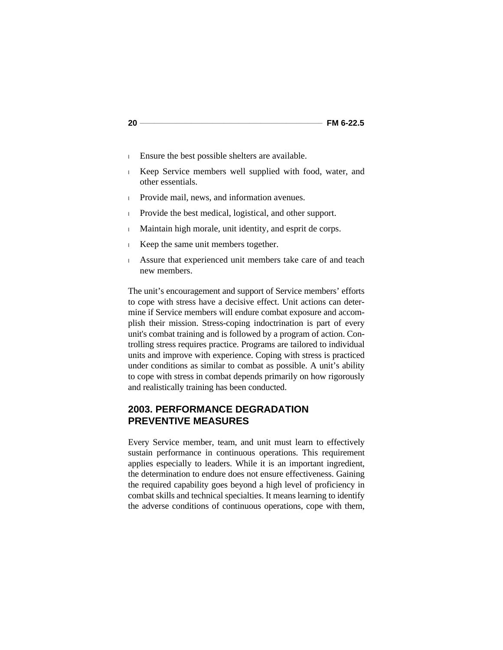- <sup>l</sup> Ensure the best possible shelters are available.
- <sup>l</sup> Keep Service members well supplied with food, water, and other essentials.
- <sup>l</sup> Provide mail, news, and information avenues.
- <sup>l</sup> Provide the best medical, logistical, and other support.
- <sup>l</sup> Maintain high morale, unit identity, and esprit de corps.
- <sup>l</sup> Keep the same unit members together.
- <sup>l</sup> Assure that experienced unit members take care of and teach new members.

The unit's encouragement and support of Service members' efforts to cope with stress have a decisive effect. Unit actions can determine if Service members will endure combat exposure and accomplish their mission. Stress-coping indoctrination is part of every unit's combat training and is followed by a program of action. Controlling stress requires practice. Programs are tailored to individual units and improve with experience. Coping with stress is practiced under conditions as similar to combat as possible. A unit's ability to cope with stress in combat depends primarily on how rigorously and realistically training has been conducted.

# **2003. PERFORMANCE DEGRADATION PREVENTIVE MEASURES**

Every Service member, team, and unit must learn to effectively sustain performance in continuous operations. This requirement applies especially to leaders. While it is an important ingredient, the determination to endure does not ensure effectiveness. Gaining the required capability goes beyond a high level of proficiency in combat skills and technical specialties. It means learning to identify the adverse conditions of continuous operations, cope with them,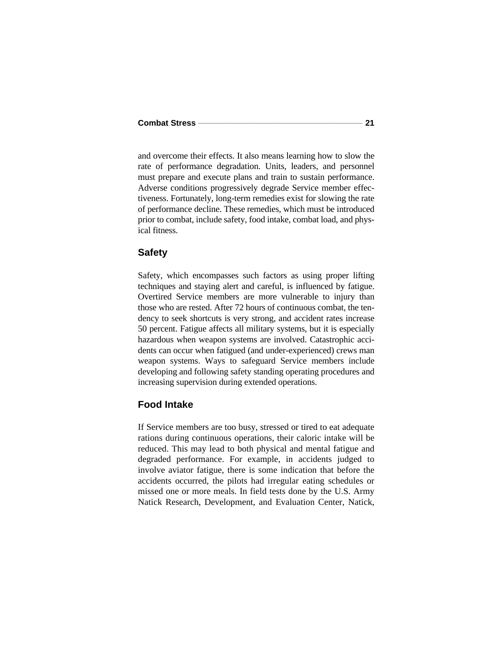and overcome their effects. It also means learning how to slow the rate of performance degradation. Units, leaders, and personnel must prepare and execute plans and train to sustain performance. Adverse conditions progressively degrade Service member effectiveness. Fortunately, long-term remedies exist for slowing the rate of performance decline. These remedies, which must be introduced prior to combat, include safety, food intake, combat load, and physical fitness.

# **Safety**

Safety, which encompasses such factors as using proper lifting techniques and staying alert and careful, is influenced by fatigue. Overtired Service members are more vulnerable to injury than those who are rested. After 72 hours of continuous combat, the tendency to seek shortcuts is very strong, and accident rates increase 50 percent. Fatigue affects all military systems, but it is especially hazardous when weapon systems are involved. Catastrophic accidents can occur when fatigued (and under-experienced) crews man weapon systems. Ways to safeguard Service members include developing and following safety standing operating procedures and increasing supervision during extended operations.

# **Food Intake**

If Service members are too busy, stressed or tired to eat adequate rations during continuous operations, their caloric intake will be reduced. This may lead to both physical and mental fatigue and degraded performance. For example, in accidents judged to involve aviator fatigue, there is some indication that before the accidents occurred, the pilots had irregular eating schedules or missed one or more meals. In field tests done by the U.S. Army Natick Research, Development, and Evaluation Center, Natick,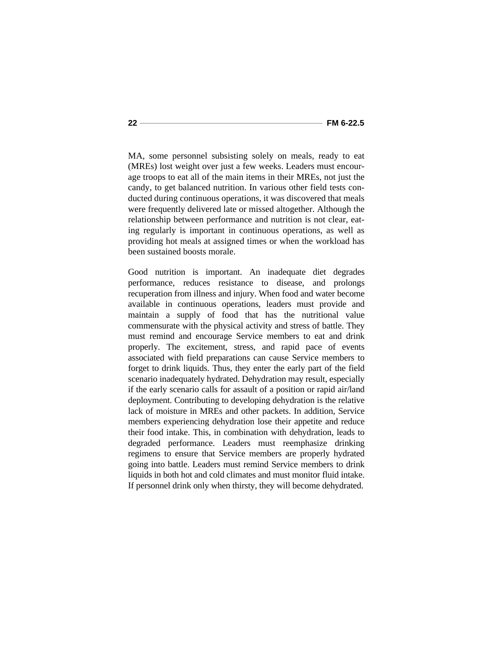MA, some personnel subsisting solely on meals, ready to eat (MREs) lost weight over just a few weeks. Leaders must encourage troops to eat all of the main items in their MREs, not just the candy, to get balanced nutrition. In various other field tests conducted during continuous operations, it was discovered that meals were frequently delivered late or missed altogether. Although the relationship between performance and nutrition is not clear, eating regularly is important in continuous operations, as well as providing hot meals at assigned times or when the workload has been sustained boosts morale.

Good nutrition is important. An inadequate diet degrades performance, reduces resistance to disease, and prolongs recuperation from illness and injury. When food and water become available in continuous operations, leaders must provide and maintain a supply of food that has the nutritional value commensurate with the physical activity and stress of battle. They must remind and encourage Service members to eat and drink properly. The excitement, stress, and rapid pace of events associated with field preparations can cause Service members to forget to drink liquids. Thus, they enter the early part of the field scenario inadequately hydrated. Dehydration may result, especially if the early scenario calls for assault of a position or rapid air/land deployment. Contributing to developing dehydration is the relative lack of moisture in MREs and other packets. In addition, Service members experiencing dehydration lose their appetite and reduce their food intake. This, in combination with dehydration, leads to degraded performance. Leaders must reemphasize drinking regimens to ensure that Service members are properly hydrated going into battle. Leaders must remind Service members to drink liquids in both hot and cold climates and must monitor fluid intake. If personnel drink only when thirsty, they will become dehydrated.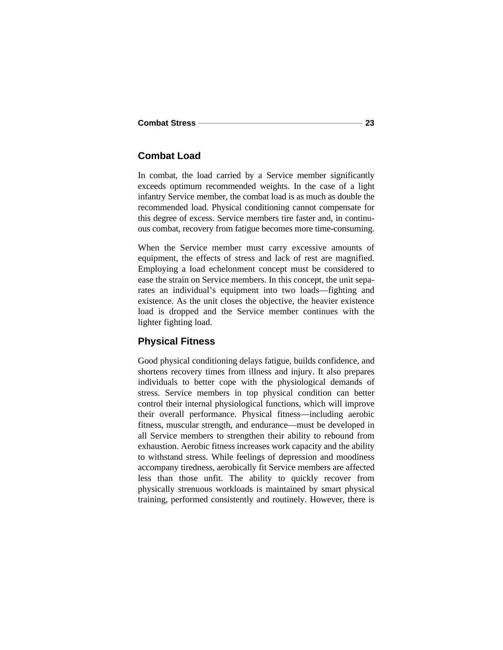# **Combat Load**

In combat, the load carried by a Service member significantly exceeds optimum recommended weights. In the case of a light infantry Service member, the combat load is as much as double the recommended load. Physical conditioning cannot compensate for this degree of excess. Service members tire faster and, in continuous combat, recovery from fatigue becomes more time-consuming.

When the Service member must carry excessive amounts of equipment, the effects of stress and lack of rest are magnified. Employing a load echelonment concept must be considered to ease the strain on Service members. In this concept, the unit separates an individual's equipment into two loads—fighting and existence. As the unit closes the objective, the heavier existence load is dropped and the Service member continues with the lighter fighting load.

## **Physical Fitness**

Good physical conditioning delays fatigue, builds confidence, and shortens recovery times from illness and injury. It also prepares individuals to better cope with the physiological demands of stress. Service members in top physical condition can better control their internal physiological functions, which will improve their overall performance. Physical fitness—including aerobic fitness, muscular strength, and endurance—must be developed in all Service members to strengthen their ability to rebound from exhaustion. Aerobic fitness increases work capacity and the ability to withstand stress. While feelings of depression and moodiness accompany tiredness, aerobically fit Service members are affected less than those unfit. The ability to quickly recover from physically strenuous workloads is maintained by smart physical training, performed consistently and routinely. However, there is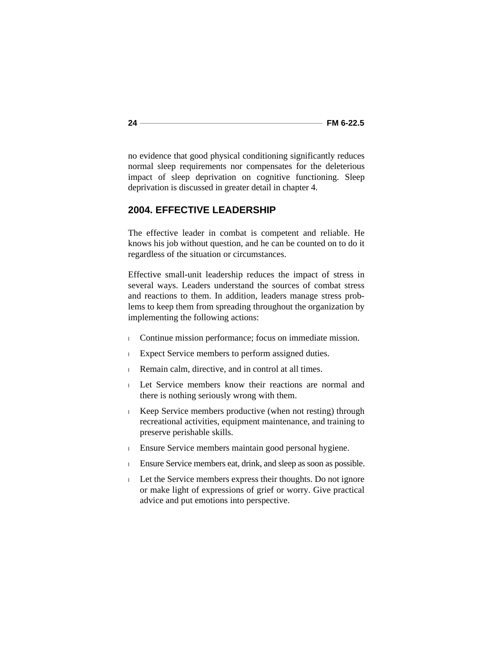no evidence that good physical conditioning significantly reduces normal sleep requirements nor compensates for the deleterious impact of sleep deprivation on cognitive functioning. Sleep deprivation is discussed in greater detail in chapter 4.

# **2004. EFFECTIVE LEADERSHIP**

The effective leader in combat is competent and reliable. He knows his job without question, and he can be counted on to do it regardless of the situation or circumstances.

Effective small-unit leadership reduces the impact of stress in several ways. Leaders understand the sources of combat stress and reactions to them. In addition, leaders manage stress problems to keep them from spreading throughout the organization by implementing the following actions:

- <sup>l</sup> Continue mission performance; focus on immediate mission.
- <sup>l</sup> Expect Service members to perform assigned duties.
- <sup>l</sup> Remain calm, directive, and in control at all times.
- <sup>l</sup> Let Service members know their reactions are normal and there is nothing seriously wrong with them.
- <sup>l</sup> Keep Service members productive (when not resting) through recreational activities, equipment maintenance, and training to preserve perishable skills.
- <sup>l</sup> Ensure Service members maintain good personal hygiene.
- <sup>l</sup> Ensure Service members eat, drink, and sleep as soon as possible.
- <sup>l</sup> Let the Service members express their thoughts. Do not ignore or make light of expressions of grief or worry. Give practical advice and put emotions into perspective.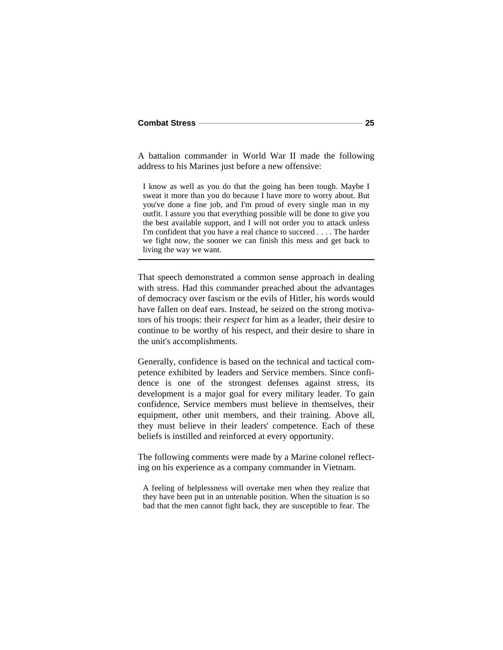A battalion commander in World War II made the following address to his Marines just before a new offensive:

I know as well as you do that the going has been tough. Maybe I sweat it more than you do because I have more to worry about. But you've done a fine job, and I'm proud of every single man in my outfit. I assure you that everything possible will be done to give you the best available support, and I will not order you to attack unless I'm confident that you have a real chance to succeed . . . . The harder we fight now, the sooner we can finish this mess and get back to living the way we want.

That speech demonstrated a common sense approach in dealing with stress. Had this commander preached about the advantages of democracy over fascism or the evils of Hitler, his words would have fallen on deaf ears. Instead, he seized on the strong motivators of his troops: their *respect* for him as a leader, their desire to continue to be worthy of his respect, and their desire to share in the unit's accomplishments.

Generally, confidence is based on the technical and tactical competence exhibited by leaders and Service members. Since confidence is one of the strongest defenses against stress, its development is a major goal for every military leader. To gain confidence, Service members must believe in themselves, their equipment, other unit members, and their training. Above all, they must believe in their leaders' competence. Each of these beliefs is instilled and reinforced at every opportunity.

The following comments were made by a Marine colonel reflecting on his experience as a company commander in Vietnam.

A feeling of helplessness will overtake men when they realize that they have been put in an untenable position. When the situation is so bad that the men cannot fight back, they are susceptible to fear. The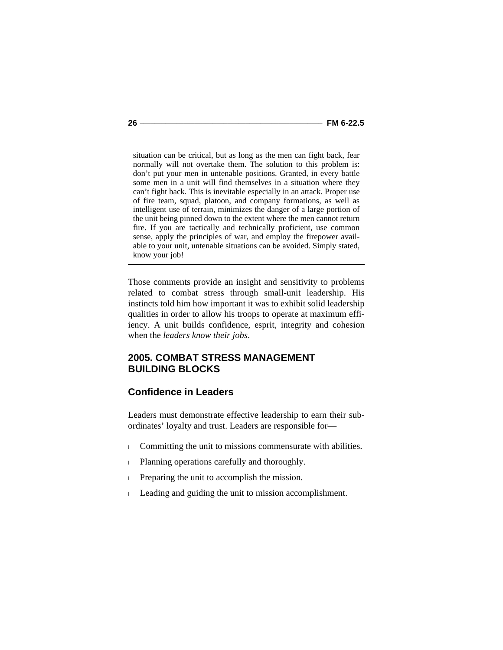situation can be critical, but as long as the men can fight back, fear normally will not overtake them. The solution to this problem is: don't put your men in untenable positions. Granted, in every battle some men in a unit will find themselves in a situation where they can't fight back. This is inevitable especially in an attack. Proper use of fire team, squad, platoon, and company formations, as well as intelligent use of terrain, minimizes the danger of a large portion of the unit being pinned down to the extent where the men cannot return fire. If you are tactically and technically proficient, use common sense, apply the principles of war, and employ the firepower available to your unit, untenable situations can be avoided. Simply stated, know your job!

Those comments provide an insight and sensitivity to problems related to combat stress through small-unit leadership. His instincts told him how important it was to exhibit solid leadership qualities in order to allow his troops to operate at maximum effiiency. A unit builds confidence, esprit, integrity and cohesion when the *leaders know their jobs*.

# **2005. COMBAT STRESS MANAGEMENT BUILDING BLOCKS**

# **Confidence in Leaders**

Leaders must demonstrate effective leadership to earn their subordinates' loyalty and trust. Leaders are responsible for—

- <sup>l</sup> Committing the unit to missions commensurate with abilities.
- <sup>l</sup> Planning operations carefully and thoroughly.
- <sup>l</sup> Preparing the unit to accomplish the mission.
- <sup>l</sup> Leading and guiding the unit to mission accomplishment.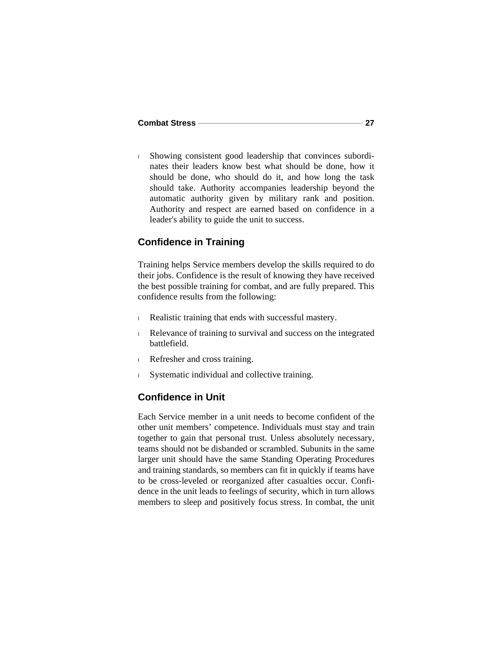#### **Combat Stress \_\_\_\_\_\_\_\_\_\_\_\_\_\_\_\_\_\_\_\_\_\_\_\_\_\_\_\_\_\_\_\_\_\_\_\_\_\_\_\_\_\_\_\_\_ 27**

<sup>l</sup> Showing consistent good leadership that convinces subordinates their leaders know best what should be done, how it should be done, who should do it, and how long the task should take. Authority accompanies leadership beyond the automatic authority given by military rank and position. Authority and respect are earned based on confidence in a leader's ability to guide the unit to success.

# **Confidence in Training**

Training helps Service members develop the skills required to do their jobs. Confidence is the result of knowing they have received the best possible training for combat, and are fully prepared. This confidence results from the following:

- <sup>l</sup> Realistic training that ends with successful mastery.
- <sup>l</sup> Relevance of training to survival and success on the integrated battlefield.
- <sup>l</sup> Refresher and cross training.
- <sup>l</sup> Systematic individual and collective training.

# **Confidence in Unit**

Each Service member in a unit needs to become confident of the other unit members' competence. Individuals must stay and train together to gain that personal trust. Unless absolutely necessary, teams should not be disbanded or scrambled. Subunits in the same larger unit should have the same Standing Operating Procedures and training standards, so members can fit in quickly if teams have to be cross-leveled or reorganized after casualties occur. Confidence in the unit leads to feelings of security, which in turn allows members to sleep and positively focus stress. In combat, the unit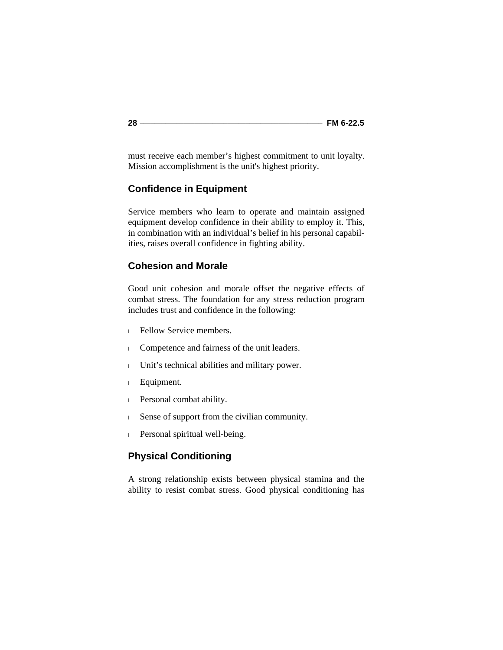must receive each member's highest commitment to unit loyalty. Mission accomplishment is the unit's highest priority.

# **Confidence in Equipment**

Service members who learn to operate and maintain assigned equipment develop confidence in their ability to employ it. This, in combination with an individual's belief in his personal capabilities, raises overall confidence in fighting ability.

# **Cohesion and Morale**

Good unit cohesion and morale offset the negative effects of combat stress. The foundation for any stress reduction program includes trust and confidence in the following:

- <sup>l</sup> Fellow Service members.
- <sup>l</sup> Competence and fairness of the unit leaders.
- <sup>l</sup> Unit's technical abilities and military power.
- <sup>l</sup> Equipment.
- <sup>l</sup> Personal combat ability.
- <sup>l</sup> Sense of support from the civilian community.
- <sup>l</sup> Personal spiritual well-being.

# **Physical Conditioning**

A strong relationship exists between physical stamina and the ability to resist combat stress. Good physical conditioning has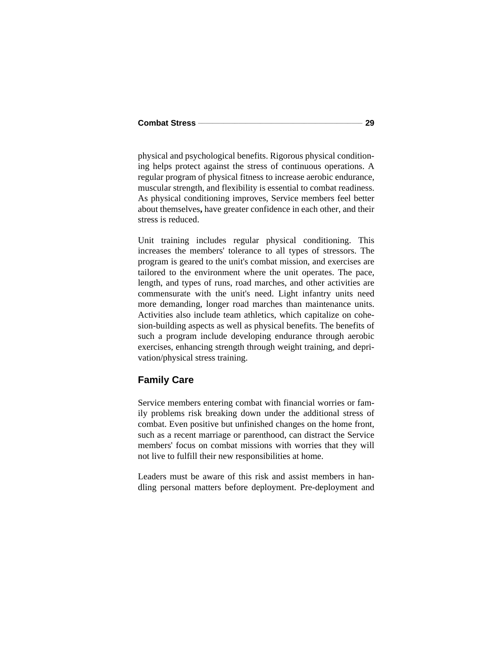physical and psychological benefits. Rigorous physical conditioning helps protect against the stress of continuous operations. A regular program of physical fitness to increase aerobic endurance, muscular strength, and flexibility is essential to combat readiness. As physical conditioning improves, Service members feel better about themselves**,** have greater confidence in each other, and their stress is reduced.

Unit training includes regular physical conditioning. This increases the members' tolerance to all types of stressors. The program is geared to the unit's combat mission, and exercises are tailored to the environment where the unit operates. The pace, length, and types of runs, road marches, and other activities are commensurate with the unit's need. Light infantry units need more demanding, longer road marches than maintenance units. Activities also include team athletics, which capitalize on cohesion-building aspects as well as physical benefits. The benefits of such a program include developing endurance through aerobic exercises, enhancing strength through weight training, and deprivation/physical stress training.

# **Family Care**

Service members entering combat with financial worries or family problems risk breaking down under the additional stress of combat. Even positive but unfinished changes on the home front, such as a recent marriage or parenthood, can distract the Service members' focus on combat missions with worries that they will not live to fulfill their new responsibilities at home.

Leaders must be aware of this risk and assist members in handling personal matters before deployment. Pre-deployment and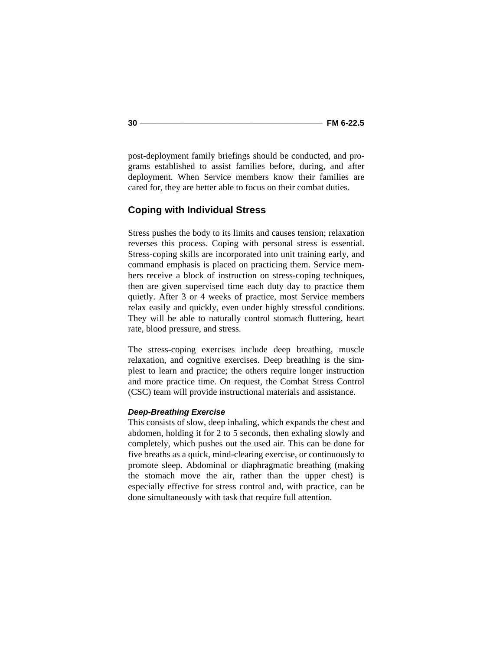post-deployment family briefings should be conducted, and programs established to assist families before, during, and after deployment. When Service members know their families are cared for, they are better able to focus on their combat duties.

# **Coping with Individual Stress**

Stress pushes the body to its limits and causes tension; relaxation reverses this process. Coping with personal stress is essential. Stress-coping skills are incorporated into unit training early, and command emphasis is placed on practicing them. Service members receive a block of instruction on stress-coping techniques, then are given supervised time each duty day to practice them quietly. After 3 or 4 weeks of practice, most Service members relax easily and quickly, even under highly stressful conditions. They will be able to naturally control stomach fluttering, heart rate, blood pressure, and stress.

The stress-coping exercises include deep breathing, muscle relaxation, and cognitive exercises. Deep breathing is the simplest to learn and practice; the others require longer instruction and more practice time. On request, the Combat Stress Control (CSC) team will provide instructional materials and assistance.

#### *Deep-Breathing Exercise*

This consists of slow, deep inhaling, which expands the chest and abdomen, holding it for 2 to 5 seconds, then exhaling slowly and completely, which pushes out the used air. This can be done for five breaths as a quick, mind-clearing exercise, or continuously to promote sleep. Abdominal or diaphragmatic breathing (making the stomach move the air, rather than the upper chest) is especially effective for stress control and, with practice, can be done simultaneously with task that require full attention.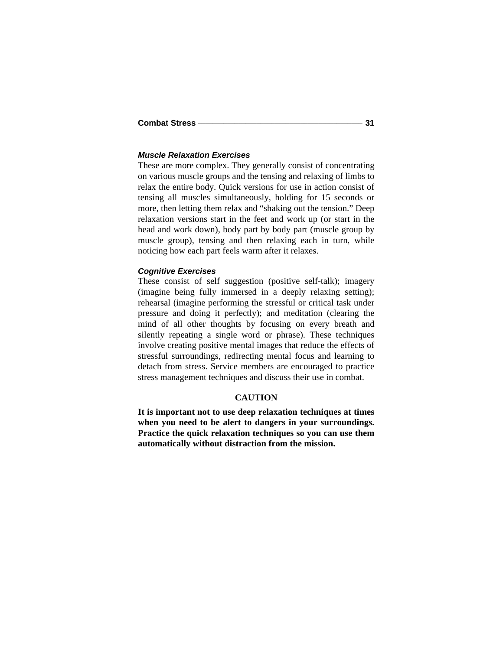# **Combat Stress \_\_\_\_\_\_\_\_\_\_\_\_\_\_\_\_\_\_\_\_\_\_\_\_\_\_\_\_\_\_\_\_\_\_\_\_\_\_\_\_\_\_\_\_\_ 31**

### *Muscle Relaxation Exercises*

These are more complex. They generally consist of concentrating on various muscle groups and the tensing and relaxing of limbs to relax the entire body. Quick versions for use in action consist of tensing all muscles simultaneously, holding for 15 seconds or more, then letting them relax and "shaking out the tension." Deep relaxation versions start in the feet and work up (or start in the head and work down), body part by body part (muscle group by muscle group), tensing and then relaxing each in turn, while noticing how each part feels warm after it relaxes.

#### *Cognitive Exercises*

These consist of self suggestion (positive self-talk); imagery (imagine being fully immersed in a deeply relaxing setting); rehearsal (imagine performing the stressful or critical task under pressure and doing it perfectly); and meditation (clearing the mind of all other thoughts by focusing on every breath and silently repeating a single word or phrase). These techniques involve creating positive mental images that reduce the effects of stressful surroundings, redirecting mental focus and learning to detach from stress. Service members are encouraged to practice stress management techniques and discuss their use in combat.

# **CAUTION**

**It is important not to use deep relaxation techniques at times when you need to be alert to dangers in your surroundings. Practice the quick relaxation techniques so you can use them automatically without distraction from the mission.**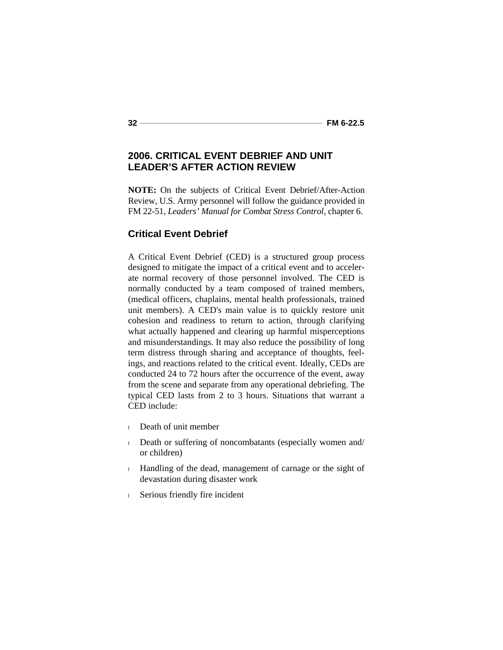# **2006. CRITICAL EVENT DEBRIEF AND UNIT LEADER'S AFTER ACTION REVIEW**

**NOTE:** On the subjects of Critical Event Debrief/After-Action Review, U.S. Army personnel will follow the guidance provided in FM 22-51, *Leaders' Manual for Combat Stress Control*, chapter 6.

# **Critical Event Debrief**

A Critical Event Debrief (CED) is a structured group process designed to mitigate the impact of a critical event and to accelerate normal recovery of those personnel involved. The CED is normally conducted by a team composed of trained members, (medical officers, chaplains, mental health professionals, trained unit members). A CED's main value is to quickly restore unit cohesion and readiness to return to action, through clarifying what actually happened and clearing up harmful misperceptions and misunderstandings. It may also reduce the possibility of long term distress through sharing and acceptance of thoughts, feelings, and reactions related to the critical event. Ideally, CEDs are conducted 24 to 72 hours after the occurrence of the event, away from the scene and separate from any operational debriefing. The typical CED lasts from 2 to 3 hours. Situations that warrant a CED include:

- <sup>l</sup> Death of unit member
- <sup>l</sup> Death or suffering of noncombatants (especially women and/ or children)
- <sup>l</sup> Handling of the dead, management of carnage or the sight of devastation during disaster work
- <sup>l</sup> Serious friendly fire incident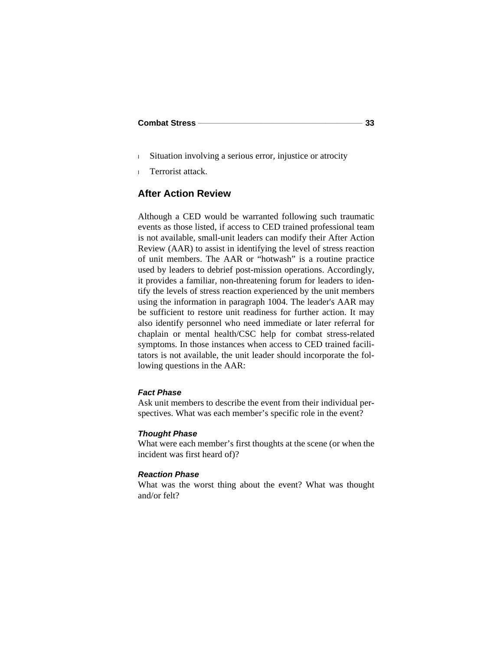- <sup>l</sup> Situation involving a serious error, injustice or atrocity
- <sup>l</sup> Terrorist attack.

# **After Action Review**

Although a CED would be warranted following such traumatic events as those listed, if access to CED trained professional team is not available, small-unit leaders can modify their After Action Review (AAR) to assist in identifying the level of stress reaction of unit members. The AAR or "hotwash" is a routine practice used by leaders to debrief post-mission operations. Accordingly, it provides a familiar, non-threatening forum for leaders to identify the levels of stress reaction experienced by the unit members using the information in paragraph 1004. The leader's AAR may be sufficient to restore unit readiness for further action. It may also identify personnel who need immediate or later referral for chaplain or mental health/CSC help for combat stress-related symptoms. In those instances when access to CED trained facilitators is not available, the unit leader should incorporate the following questions in the AAR:

#### *Fact Phase*

Ask unit members to describe the event from their individual perspectives. What was each member's specific role in the event?

#### *Thought Phase*

What were each member's first thoughts at the scene (or when the incident was first heard of)?

#### *Reaction Phase*

What was the worst thing about the event? What was thought and/or felt?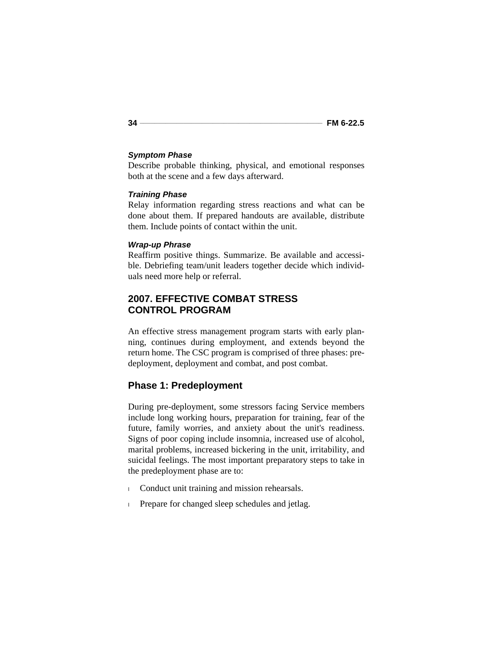### *Symptom Phase*

Describe probable thinking, physical, and emotional responses both at the scene and a few days afterward.

# *Training Phase*

Relay information regarding stress reactions and what can be done about them. If prepared handouts are available, distribute them. Include points of contact within the unit.

# *Wrap-up Phrase*

Reaffirm positive things. Summarize. Be available and accessible. Debriefing team/unit leaders together decide which individuals need more help or referral.

# **2007. EFFECTIVE COMBAT STRESS CONTROL PROGRAM**

An effective stress management program starts with early planning, continues during employment, and extends beyond the return home. The CSC program is comprised of three phases: predeployment, deployment and combat, and post combat.

# **Phase 1: Predeployment**

During pre-deployment, some stressors facing Service members include long working hours, preparation for training, fear of the future, family worries, and anxiety about the unit's readiness. Signs of poor coping include insomnia, increased use of alcohol, marital problems, increased bickering in the unit, irritability, and suicidal feelings. The most important preparatory steps to take in the predeployment phase are to:

- <sup>l</sup> Conduct unit training and mission rehearsals.
- <sup>l</sup> Prepare for changed sleep schedules and jetlag.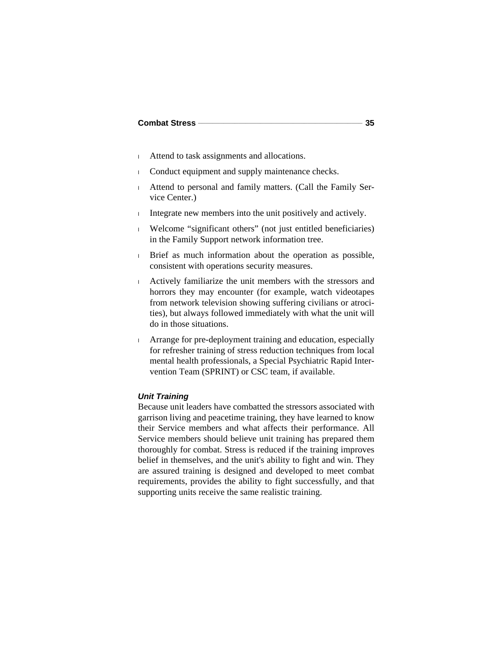- 
- <sup>l</sup> Attend to task assignments and allocations.
- <sup>l</sup> Conduct equipment and supply maintenance checks.
- <sup>l</sup> Attend to personal and family matters. (Call the Family Service Center.)
- <sup>l</sup> Integrate new members into the unit positively and actively.
- <sup>l</sup> Welcome "significant others" (not just entitled beneficiaries) in the Family Support network information tree.
- <sup>l</sup> Brief as much information about the operation as possible, consistent with operations security measures.
- <sup>l</sup> Actively familiarize the unit members with the stressors and horrors they may encounter (for example, watch videotapes from network television showing suffering civilians or atrocities), but always followed immediately with what the unit will do in those situations.
- <sup>l</sup> Arrange for pre-deployment training and education, especially for refresher training of stress reduction techniques from local mental health professionals, a Special Psychiatric Rapid Intervention Team (SPRINT) or CSC team, if available.

### *Unit Training*

Because unit leaders have combatted the stressors associated with garrison living and peacetime training, they have learned to know their Service members and what affects their performance. All Service members should believe unit training has prepared them thoroughly for combat. Stress is reduced if the training improves belief in themselves, and the unit's ability to fight and win. They are assured training is designed and developed to meet combat requirements, provides the ability to fight successfully, and that supporting units receive the same realistic training.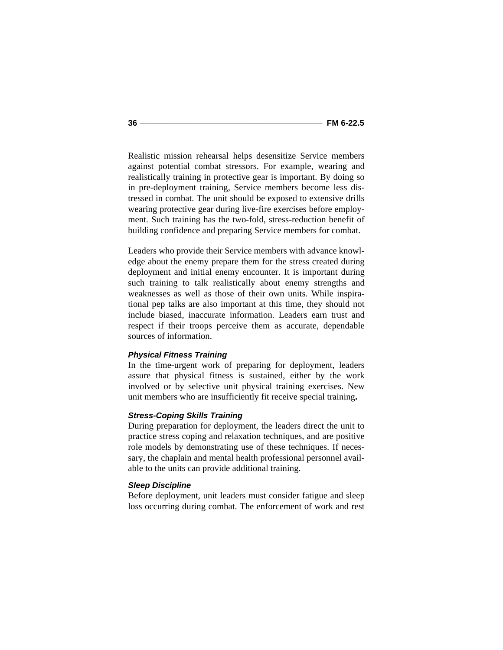Realistic mission rehearsal helps desensitize Service members against potential combat stressors. For example, wearing and realistically training in protective gear is important. By doing so in pre-deployment training, Service members become less distressed in combat. The unit should be exposed to extensive drills wearing protective gear during live-fire exercises before employment. Such training has the two-fold, stress-reduction benefit of building confidence and preparing Service members for combat.

Leaders who provide their Service members with advance knowledge about the enemy prepare them for the stress created during deployment and initial enemy encounter. It is important during such training to talk realistically about enemy strengths and weaknesses as well as those of their own units. While inspirational pep talks are also important at this time, they should not include biased, inaccurate information. Leaders earn trust and respect if their troops perceive them as accurate, dependable sources of information.

#### *Physical Fitness Training*

In the time-urgent work of preparing for deployment, leaders assure that physical fitness is sustained, either by the work involved or by selective unit physical training exercises. New unit members who are insufficiently fit receive special training**.** 

# *Stress-Coping Skills Training*

During preparation for deployment, the leaders direct the unit to practice stress coping and relaxation techniques, and are positive role models by demonstrating use of these techniques. If necessary, the chaplain and mental health professional personnel available to the units can provide additional training.

#### *Sleep Discipline*

Before deployment, unit leaders must consider fatigue and sleep loss occurring during combat. The enforcement of work and rest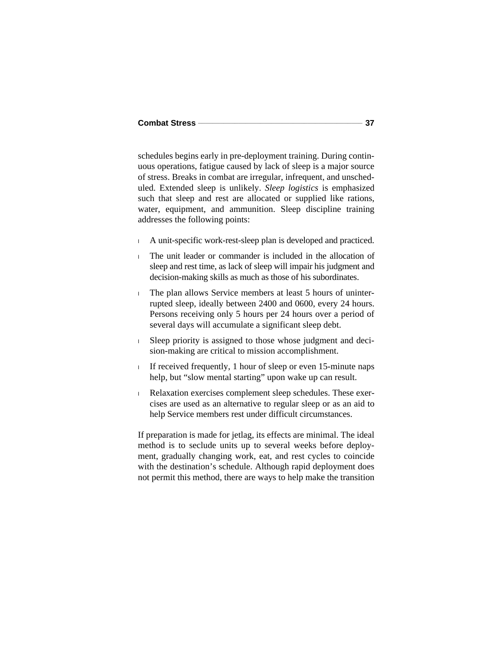schedules begins early in pre-deployment training. During continuous operations, fatigue caused by lack of sleep is a major source of stress. Breaks in combat are irregular, infrequent, and unscheduled. Extended sleep is unlikely. *Sleep logistics* is emphasized such that sleep and rest are allocated or supplied like rations, water, equipment, and ammunition. Sleep discipline training addresses the following points:

- <sup>l</sup> A unit-specific work-rest-sleep plan is developed and practiced.
- <sup>l</sup> The unit leader or commander is included in the allocation of sleep and rest time, as lack of sleep will impair his judgment and decision-making skills as much as those of his subordinates.
- <sup>l</sup> The plan allows Service members at least 5 hours of uninterrupted sleep, ideally between 2400 and 0600, every 24 hours. Persons receiving only 5 hours per 24 hours over a period of several days will accumulate a significant sleep debt.
- <sup>l</sup> Sleep priority is assigned to those whose judgment and decision-making are critical to mission accomplishment.
- <sup>l</sup> If received frequently, 1 hour of sleep or even 15-minute naps help, but "slow mental starting" upon wake up can result.
- <sup>l</sup> Relaxation exercises complement sleep schedules. These exercises are used as an alternative to regular sleep or as an aid to help Service members rest under difficult circumstances.

If preparation is made for jetlag, its effects are minimal. The ideal method is to seclude units up to several weeks before deployment, gradually changing work, eat, and rest cycles to coincide with the destination's schedule. Although rapid deployment does not permit this method, there are ways to help make the transition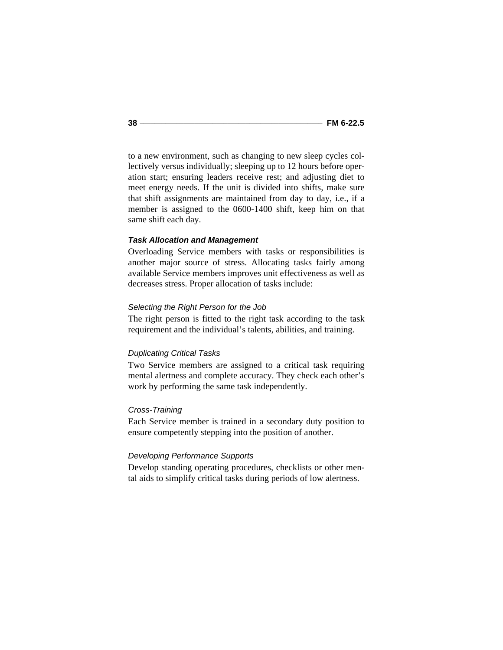to a new environment, such as changing to new sleep cycles collectively versus individually; sleeping up to 12 hours before operation start; ensuring leaders receive rest; and adjusting diet to meet energy needs. If the unit is divided into shifts, make sure that shift assignments are maintained from day to day, i.e., if a member is assigned to the 0600-1400 shift, keep him on that same shift each day.

#### *Task Allocation and Management*

Overloading Service members with tasks or responsibilities is another major source of stress. Allocating tasks fairly among available Service members improves unit effectiveness as well as decreases stress. Proper allocation of tasks include:

#### *Selecting the Right Person for the Job*

The right person is fitted to the right task according to the task requirement and the individual's talents, abilities, and training.

### *Duplicating Critical Tasks*

Two Service members are assigned to a critical task requiring mental alertness and complete accuracy. They check each other's work by performing the same task independently.

#### *Cross-Training*

Each Service member is trained in a secondary duty position to ensure competently stepping into the position of another.

### *Developing Performance Supports*

Develop standing operating procedures, checklists or other mental aids to simplify critical tasks during periods of low alertness.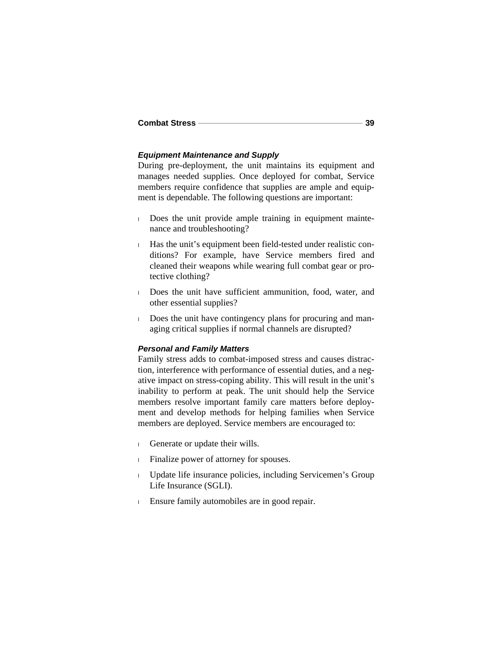#### **Combat Stress \_\_\_\_\_\_\_\_\_\_\_\_\_\_\_\_\_\_\_\_\_\_\_\_\_\_\_\_\_\_\_\_\_\_\_\_\_\_\_\_\_\_\_\_\_ 39**

### *Equipment Maintenance and Supply*

During pre-deployment, the unit maintains its equipment and manages needed supplies. Once deployed for combat, Service members require confidence that supplies are ample and equipment is dependable. The following questions are important:

- <sup>l</sup> Does the unit provide ample training in equipment maintenance and troubleshooting?
- <sup>l</sup> Has the unit's equipment been field-tested under realistic conditions? For example, have Service members fired and cleaned their weapons while wearing full combat gear or protective clothing?
- <sup>l</sup> Does the unit have sufficient ammunition, food, water, and other essential supplies?
- <sup>l</sup> Does the unit have contingency plans for procuring and managing critical supplies if normal channels are disrupted?

#### *Personal and Family Matters*

Family stress adds to combat-imposed stress and causes distraction, interference with performance of essential duties, and a negative impact on stress-coping ability. This will result in the unit's inability to perform at peak. The unit should help the Service members resolve important family care matters before deployment and develop methods for helping families when Service members are deployed. Service members are encouraged to:

- <sup>l</sup> Generate or update their wills.
- <sup>l</sup> Finalize power of attorney for spouses.
- <sup>l</sup> Update life insurance policies, including Servicemen's Group Life Insurance (SGLI).
- <sup>l</sup> Ensure family automobiles are in good repair.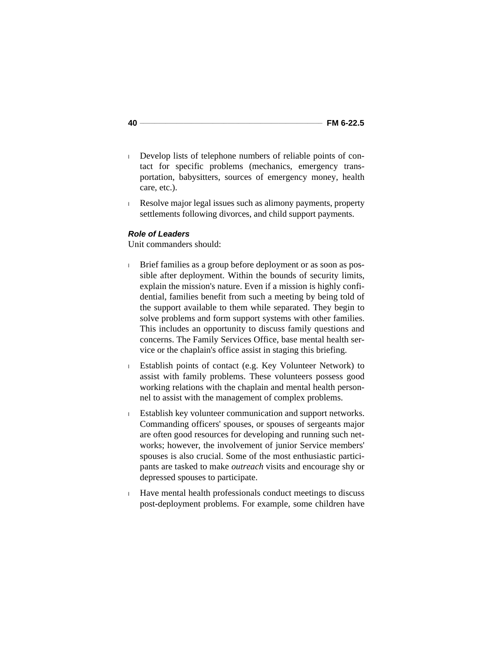- <sup>l</sup> Develop lists of telephone numbers of reliable points of contact for specific problems (mechanics, emergency transportation, babysitters, sources of emergency money, health care, etc.).
- <sup>l</sup> Resolve major legal issues such as alimony payments, property settlements following divorces, and child support payments.

#### *Role of Leaders*

Unit commanders should:

- <sup>l</sup> Brief families as a group before deployment or as soon as possible after deployment. Within the bounds of security limits, explain the mission's nature. Even if a mission is highly confidential, families benefit from such a meeting by being told of the support available to them while separated. They begin to solve problems and form support systems with other families. This includes an opportunity to discuss family questions and concerns. The Family Services Office, base mental health service or the chaplain's office assist in staging this briefing.
- Establish points of contact (e.g. Key Volunteer Network) to assist with family problems. These volunteers possess good working relations with the chaplain and mental health personnel to assist with the management of complex problems.
- <sup>l</sup> Establish key volunteer communication and support networks. Commanding officers' spouses, or spouses of sergeants major are often good resources for developing and running such networks; however, the involvement of junior Service members' spouses is also crucial. Some of the most enthusiastic participants are tasked to make *outreach* visits and encourage shy or depressed spouses to participate.
- <sup>l</sup> Have mental health professionals conduct meetings to discuss post-deployment problems. For example, some children have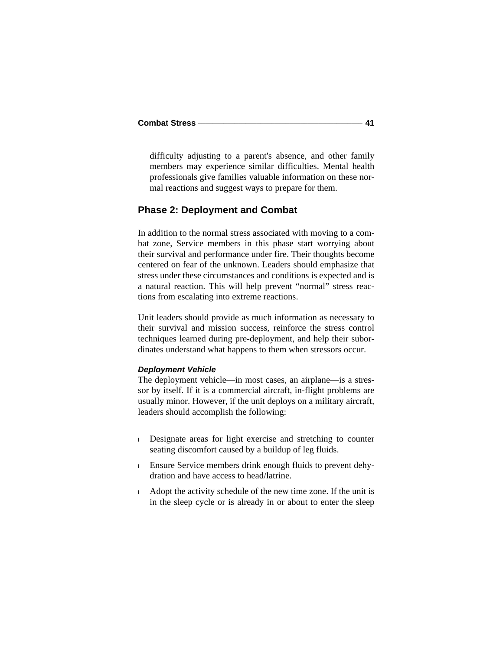#### **Combat Stress \_\_\_\_\_\_\_\_\_\_\_\_\_\_\_\_\_\_\_\_\_\_\_\_\_\_\_\_\_\_\_\_\_\_\_\_\_\_\_\_\_\_\_\_\_ 41**

difficulty adjusting to a parent's absence, and other family members may experience similar difficulties. Mental health professionals give families valuable information on these normal reactions and suggest ways to prepare for them.

# **Phase 2: Deployment and Combat**

In addition to the normal stress associated with moving to a combat zone, Service members in this phase start worrying about their survival and performance under fire. Their thoughts become centered on fear of the unknown. Leaders should emphasize that stress under these circumstances and conditions is expected and is a natural reaction. This will help prevent "normal" stress reactions from escalating into extreme reactions.

Unit leaders should provide as much information as necessary to their survival and mission success, reinforce the stress control techniques learned during pre-deployment, and help their subordinates understand what happens to them when stressors occur.

#### *Deployment Vehicle*

The deployment vehicle—in most cases, an airplane—is a stressor by itself. If it is a commercial aircraft, in-flight problems are usually minor. However, if the unit deploys on a military aircraft, leaders should accomplish the following:

- <sup>l</sup> Designate areas for light exercise and stretching to counter seating discomfort caused by a buildup of leg fluids.
- <sup>l</sup> Ensure Service members drink enough fluids to prevent dehydration and have access to head/latrine.
- <sup>l</sup> Adopt the activity schedule of the new time zone. If the unit is in the sleep cycle or is already in or about to enter the sleep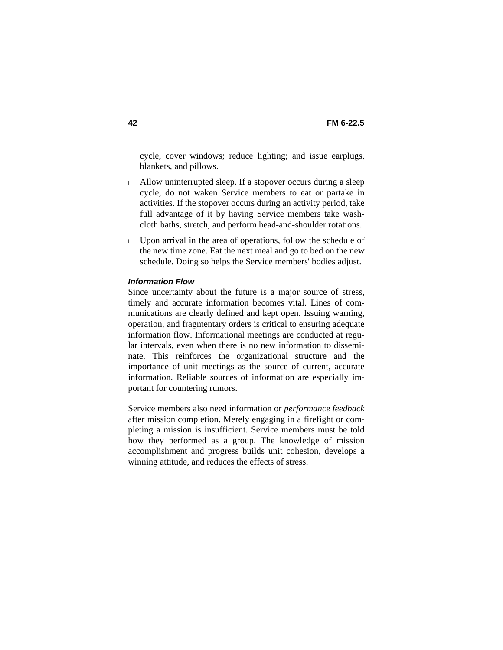cycle, cover windows; reduce lighting; and issue earplugs, blankets, and pillows.

- <sup>l</sup> Allow uninterrupted sleep. If a stopover occurs during a sleep cycle, do not waken Service members to eat or partake in activities. If the stopover occurs during an activity period, take full advantage of it by having Service members take washcloth baths, stretch, and perform head-and-shoulder rotations.
- <sup>l</sup> Upon arrival in the area of operations, follow the schedule of the new time zone. Eat the next meal and go to bed on the new schedule. Doing so helps the Service members' bodies adjust.

# *Information Flow*

Since uncertainty about the future is a major source of stress, timely and accurate information becomes vital. Lines of communications are clearly defined and kept open. Issuing warning, operation, and fragmentary orders is critical to ensuring adequate information flow. Informational meetings are conducted at regular intervals, even when there is no new information to disseminate. This reinforces the organizational structure and the importance of unit meetings as the source of current, accurate information. Reliable sources of information are especially important for countering rumors.

Service members also need information or *performance feedback* after mission completion. Merely engaging in a firefight or completing a mission is insufficient. Service members must be told how they performed as a group. The knowledge of mission accomplishment and progress builds unit cohesion, develops a winning attitude, and reduces the effects of stress.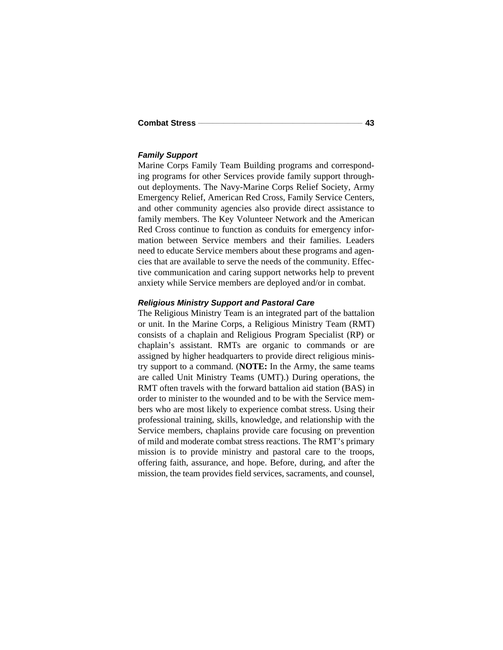#### **Combat Stress \_\_\_\_\_\_\_\_\_\_\_\_\_\_\_\_\_\_\_\_\_\_\_\_\_\_\_\_\_\_\_\_\_\_\_\_\_\_\_\_\_\_\_\_\_ 43**

#### *Family Support*

Marine Corps Family Team Building programs and corresponding programs for other Services provide family support throughout deployments. The Navy-Marine Corps Relief Society, Army Emergency Relief, American Red Cross, Family Service Centers, and other community agencies also provide direct assistance to family members. The Key Volunteer Network and the American Red Cross continue to function as conduits for emergency information between Service members and their families. Leaders need to educate Service members about these programs and agencies that are available to serve the needs of the community. Effective communication and caring support networks help to prevent anxiety while Service members are deployed and/or in combat.

#### *Religious Ministry Support and Pastoral Care*

The Religious Ministry Team is an integrated part of the battalion or unit. In the Marine Corps, a Religious Ministry Team (RMT) consists of a chaplain and Religious Program Specialist (RP) or chaplain's assistant. RMTs are organic to commands or are assigned by higher headquarters to provide direct religious ministry support to a command. (**NOTE:** In the Army, the same teams are called Unit Ministry Teams (UMT).) During operations, the RMT often travels with the forward battalion aid station (BAS) in order to minister to the wounded and to be with the Service members who are most likely to experience combat stress. Using their professional training, skills, knowledge, and relationship with the Service members, chaplains provide care focusing on prevention of mild and moderate combat stress reactions. The RMT's primary mission is to provide ministry and pastoral care to the troops, offering faith, assurance, and hope. Before, during, and after the mission, the team provides field services, sacraments, and counsel,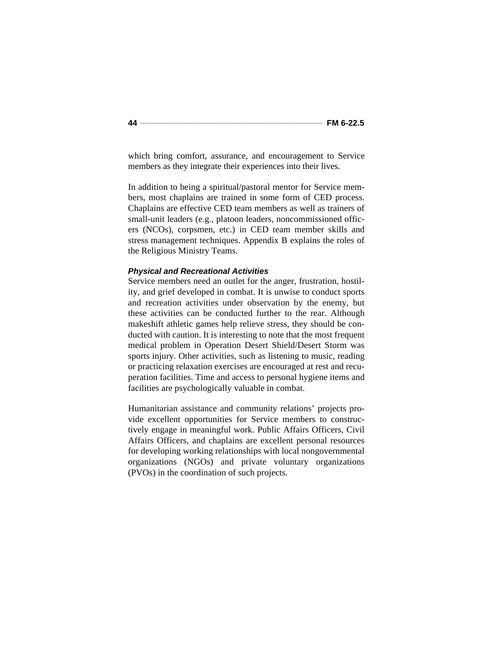which bring comfort, assurance, and encouragement to Service members as they integrate their experiences into their lives.

In addition to being a spiritual/pastoral mentor for Service members, most chaplains are trained in some form of CED process. Chaplains are effective CED team members as well as trainers of small-unit leaders (e.g., platoon leaders, noncommissioned officers (NCOs), corpsmen, etc.) in CED team member skills and stress management techniques. Appendix B explains the roles of the Religious Ministry Teams.

# *Physical and Recreational Activities*

Service members need an outlet for the anger, frustration, hostility, and grief developed in combat. It is unwise to conduct sports and recreation activities under observation by the enemy, but these activities can be conducted further to the rear. Although makeshift athletic games help relieve stress, they should be conducted with caution. It is interesting to note that the most frequent medical problem in Operation Desert Shield/Desert Storm was sports injury. Other activities, such as listening to music, reading or practicing relaxation exercises are encouraged at rest and recuperation facilities. Time and access to personal hygiene items and facilities are psychologically valuable in combat.

Humanitarian assistance and community relations' projects provide excellent opportunities for Service members to constructively engage in meaningful work. Public Affairs Officers, Civil Affairs Officers, and chaplains are excellent personal resources for developing working relationships with local nongovernmental organizations (NGOs) and private voluntary organizations (PVOs) in the coordination of such projects.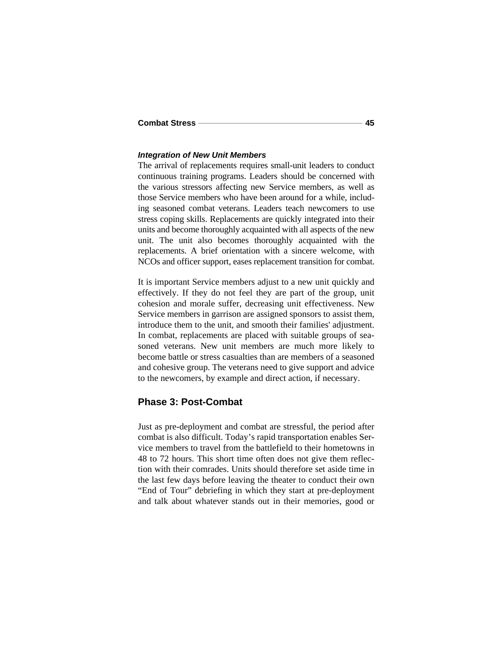#### **Combat Stress \_\_\_\_\_\_\_\_\_\_\_\_\_\_\_\_\_\_\_\_\_\_\_\_\_\_\_\_\_\_\_\_\_\_\_\_\_\_\_\_\_\_\_\_\_ 45**

#### *Integration of New Unit Members*

The arrival of replacements requires small-unit leaders to conduct continuous training programs. Leaders should be concerned with the various stressors affecting new Service members, as well as those Service members who have been around for a while, including seasoned combat veterans. Leaders teach newcomers to use stress coping skills. Replacements are quickly integrated into their units and become thoroughly acquainted with all aspects of the new unit. The unit also becomes thoroughly acquainted with the replacements. A brief orientation with a sincere welcome, with NCOs and officer support, eases replacement transition for combat.

It is important Service members adjust to a new unit quickly and effectively. If they do not feel they are part of the group, unit cohesion and morale suffer, decreasing unit effectiveness. New Service members in garrison are assigned sponsors to assist them, introduce them to the unit, and smooth their families' adjustment. In combat, replacements are placed with suitable groups of seasoned veterans. New unit members are much more likely to become battle or stress casualties than are members of a seasoned and cohesive group. The veterans need to give support and advice to the newcomers, by example and direct action, if necessary.

# **Phase 3: Post-Combat**

Just as pre-deployment and combat are stressful, the period after combat is also difficult. Today's rapid transportation enables Service members to travel from the battlefield to their hometowns in 48 to 72 hours. This short time often does not give them reflection with their comrades. Units should therefore set aside time in the last few days before leaving the theater to conduct their own "End of Tour" debriefing in which they start at pre-deployment and talk about whatever stands out in their memories, good or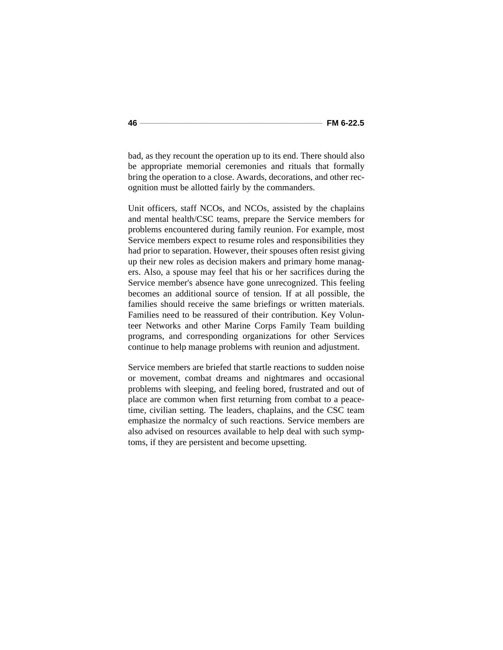bad, as they recount the operation up to its end. There should also be appropriate memorial ceremonies and rituals that formally bring the operation to a close. Awards, decorations, and other recognition must be allotted fairly by the commanders.

Unit officers, staff NCOs, and NCOs, assisted by the chaplains and mental health/CSC teams, prepare the Service members for problems encountered during family reunion. For example, most Service members expect to resume roles and responsibilities they had prior to separation. However, their spouses often resist giving up their new roles as decision makers and primary home managers. Also, a spouse may feel that his or her sacrifices during the Service member's absence have gone unrecognized. This feeling becomes an additional source of tension. If at all possible, the families should receive the same briefings or written materials. Families need to be reassured of their contribution. Key Volunteer Networks and other Marine Corps Family Team building programs, and corresponding organizations for other Services continue to help manage problems with reunion and adjustment.

Service members are briefed that startle reactions to sudden noise or movement, combat dreams and nightmares and occasional problems with sleeping, and feeling bored, frustrated and out of place are common when first returning from combat to a peacetime, civilian setting. The leaders, chaplains, and the CSC team emphasize the normalcy of such reactions. Service members are also advised on resources available to help deal with such symptoms, if they are persistent and become upsetting.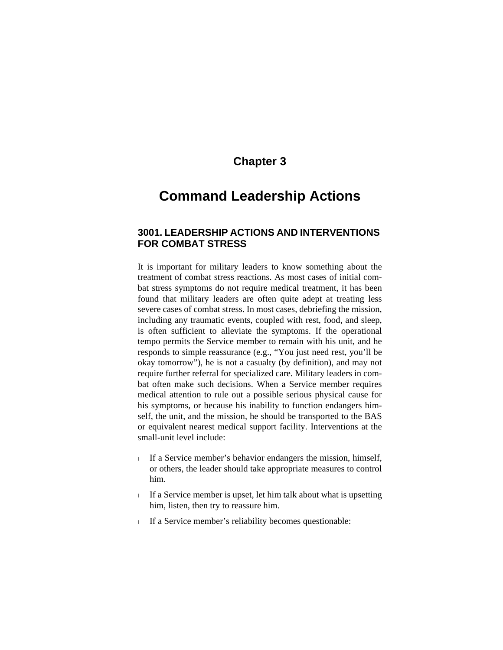# **Chapter 3**

# **Command Leadership Actions**

# **3001. LEADERSHIP ACTIONS AND INTERVENTIONS FOR COMBAT STRESS**

It is important for military leaders to know something about the treatment of combat stress reactions. As most cases of initial combat stress symptoms do not require medical treatment, it has been found that military leaders are often quite adept at treating less severe cases of combat stress. In most cases, debriefing the mission, including any traumatic events, coupled with rest, food, and sleep, is often sufficient to alleviate the symptoms. If the operational tempo permits the Service member to remain with his unit, and he responds to simple reassurance (e.g., "You just need rest, you'll be okay tomorrow"), he is not a casualty (by definition), and may not require further referral for specialized care. Military leaders in combat often make such decisions. When a Service member requires medical attention to rule out a possible serious physical cause for his symptoms, or because his inability to function endangers himself, the unit, and the mission, he should be transported to the BAS or equivalent nearest medical support facility. Interventions at the small-unit level include:

- <sup>l</sup> If a Service member's behavior endangers the mission, himself, or others, the leader should take appropriate measures to control him.
- <sup>l</sup> If a Service member is upset, let him talk about what is upsetting him, listen, then try to reassure him.
- <sup>l</sup> If a Service member's reliability becomes questionable: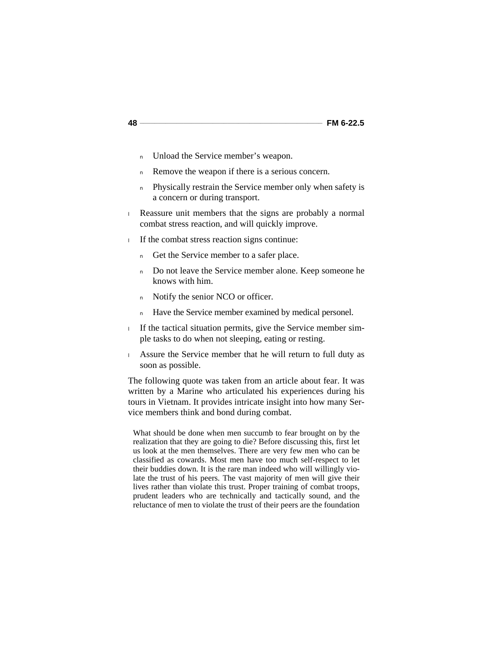- <sup>n</sup> Unload the Service member's weapon.
- <sup>n</sup> Remove the weapon if there is a serious concern.
- <sup>n</sup> Physically restrain the Service member only when safety is a concern or during transport.
- <sup>l</sup> Reassure unit members that the signs are probably a normal combat stress reaction, and will quickly improve.
- <sup>l</sup> If the combat stress reaction signs continue:
	- <sup>n</sup> Get the Service member to a safer place.
	- <sup>n</sup> Do not leave the Service member alone. Keep someone he knows with him.
	- <sup>n</sup> Notify the senior NCO or officer.
	- <sup>n</sup> Have the Service member examined by medical personel.
- <sup>l</sup> If the tactical situation permits, give the Service member simple tasks to do when not sleeping, eating or resting.
- <sup>l</sup> Assure the Service member that he will return to full duty as soon as possible.

The following quote was taken from an article about fear. It was written by a Marine who articulated his experiences during his tours in Vietnam. It provides intricate insight into how many Service members think and bond during combat.

What should be done when men succumb to fear brought on by the realization that they are going to die? Before discussing this, first let us look at the men themselves. There are very few men who can be classified as cowards. Most men have too much self-respect to let their buddies down. It is the rare man indeed who will willingly violate the trust of his peers. The vast majority of men will give their lives rather than violate this trust. Proper training of combat troops, prudent leaders who are technically and tactically sound, and the reluctance of men to violate the trust of their peers are the foundation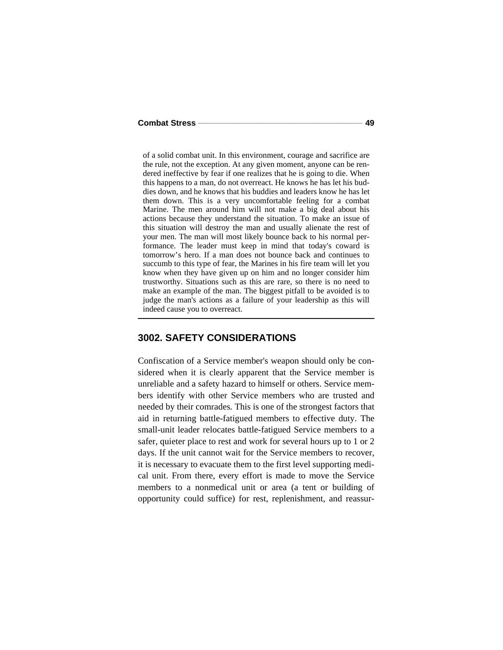of a solid combat unit. In this environment, courage and sacrifice are the rule, not the exception. At any given moment, anyone can be rendered ineffective by fear if one realizes that he is going to die. When this happens to a man, do not overreact. He knows he has let his buddies down, and he knows that his buddies and leaders know he has let them down. This is a very uncomfortable feeling for a combat Marine. The men around him will not make a big deal about his actions because they understand the situation. To make an issue of this situation will destroy the man and usually alienate the rest of your men. The man will most likely bounce back to his normal performance. The leader must keep in mind that today's coward is tomorrow's hero. If a man does not bounce back and continues to succumb to this type of fear, the Marines in his fire team will let you know when they have given up on him and no longer consider him trustworthy. Situations such as this are rare, so there is no need to make an example of the man. The biggest pitfall to be avoided is to judge the man's actions as a failure of your leadership as this will indeed cause you to overreact.

# **3002. SAFETY CONSIDERATIONS**

Confiscation of a Service member's weapon should only be considered when it is clearly apparent that the Service member is unreliable and a safety hazard to himself or others. Service members identify with other Service members who are trusted and needed by their comrades*.* This is one of the strongest factors that aid in returning battle-fatigued members to effective duty. The small-unit leader relocates battle-fatigued Service members to a safer, quieter place to rest and work for several hours up to 1 or 2 days. If the unit cannot wait for the Service members to recover, it is necessary to evacuate them to the first level supporting medical unit. From there, every effort is made to move the Service members to a nonmedical unit or area (a tent or building of opportunity could suffice) for rest, replenishment, and reassur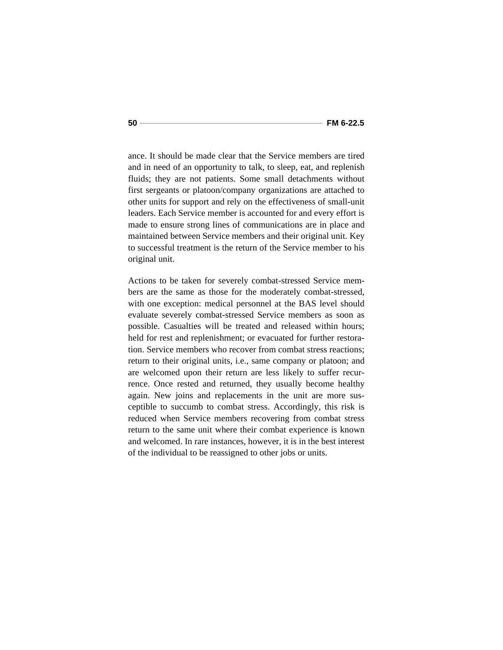ance. It should be made clear that the Service members are tired and in need of an opportunity to talk, to sleep, eat, and replenish fluids; they are not patients. Some small detachments without first sergeants or platoon/company organizations are attached to other units for support and rely on the effectiveness of small-unit leaders. Each Service member is accounted for and every effort is made to ensure strong lines of communications are in place and maintained between Service members and their original unit. Key to successful treatment is the return of the Service member to his original unit.

Actions to be taken for severely combat-stressed Service members are the same as those for the moderately combat-stressed, with one exception: medical personnel at the BAS level should evaluate severely combat-stressed Service members as soon as possible. Casualties will be treated and released within hours; held for rest and replenishment; or evacuated for further restoration. Service members who recover from combat stress reactions; return to their original units, i.e., same company or platoon; and are welcomed upon their return are less likely to suffer recurrence. Once rested and returned, they usually become healthy again. New joins and replacements in the unit are more susceptible to succumb to combat stress. Accordingly, this risk is reduced when Service members recovering from combat stress return to the same unit where their combat experience is known and welcomed. In rare instances, however, it is in the best interest of the individual to be reassigned to other jobs or units.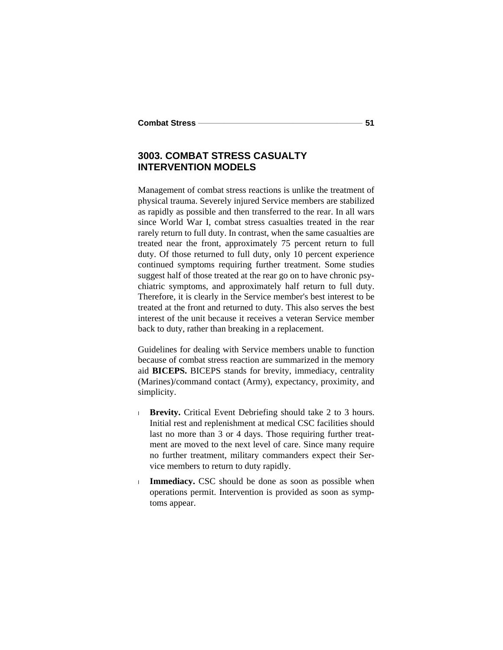# **3003. COMBAT STRESS CASUALTY INTERVENTION MODELS**

Management of combat stress reactions is unlike the treatment of physical trauma. Severely injured Service members are stabilized as rapidly as possible and then transferred to the rear. In all wars since World War I, combat stress casualties treated in the rear rarely return to full duty. In contrast, when the same casualties are treated near the front, approximately 75 percent return to full duty. Of those returned to full duty, only 10 percent experience continued symptoms requiring further treatment. Some studies suggest half of those treated at the rear go on to have chronic psychiatric symptoms, and approximately half return to full duty. Therefore, it is clearly in the Service member's best interest to be treated at the front and returned to duty. This also serves the best interest of the unit because it receives a veteran Service member back to duty, rather than breaking in a replacement.

Guidelines for dealing with Service members unable to function because of combat stress reaction are summarized in the memory aid **BICEPS.** BICEPS stands for brevity, immediacy, centrality (Marines)/command contact (Army), expectancy, proximity, and simplicity.

- **Brevity.** Critical Event Debriefing should take 2 to 3 hours. Initial rest and replenishment at medical CSC facilities should last no more than 3 or 4 days. Those requiring further treatment are moved to the next level of care. Since many require no further treatment, military commanders expect their Service members to return to duty rapidly.
- **Immediacy.** CSC should be done as soon as possible when operations permit. Intervention is provided as soon as symptoms appear.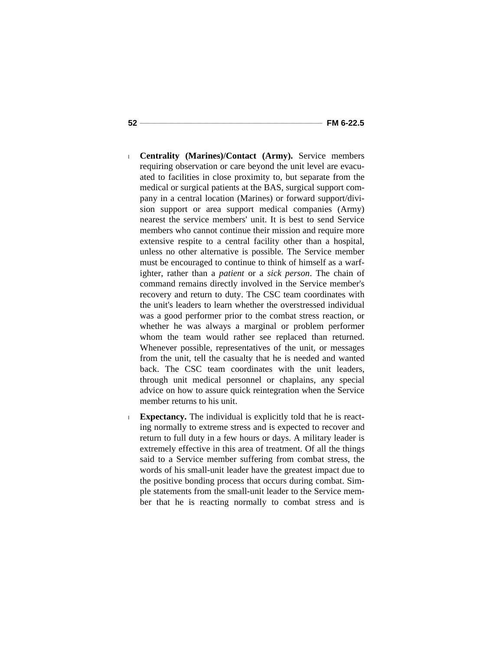- <sup>l</sup> **Centrality (Marines)/Contact (Army).** Service members requiring observation or care beyond the unit level are evacuated to facilities in close proximity to, but separate from the medical or surgical patients at the BAS, surgical support company in a central location (Marines) or forward support/division support or area support medical companies (Army) nearest the service members' unit. It is best to send Service members who cannot continue their mission and require more extensive respite to a central facility other than a hospital, unless no other alternative is possible. The Service member must be encouraged to continue to think of himself as a warfighter, rather than a *patient* or a *sick person*. The chain of command remains directly involved in the Service member's recovery and return to duty. The CSC team coordinates with the unit's leaders to learn whether the overstressed individual was a good performer prior to the combat stress reaction, or whether he was always a marginal or problem performer whom the team would rather see replaced than returned. Whenever possible, representatives of the unit, or messages from the unit, tell the casualty that he is needed and wanted back. The CSC team coordinates with the unit leaders, through unit medical personnel or chaplains, any special advice on how to assure quick reintegration when the Service member returns to his unit.
- **Expectancy.** The individual is explicitly told that he is reacting normally to extreme stress and is expected to recover and return to full duty in a few hours or days. A military leader is extremely effective in this area of treatment. Of all the things said to a Service member suffering from combat stress, the words of his small-unit leader have the greatest impact due to the positive bonding process that occurs during combat. Simple statements from the small-unit leader to the Service member that he is reacting normally to combat stress and is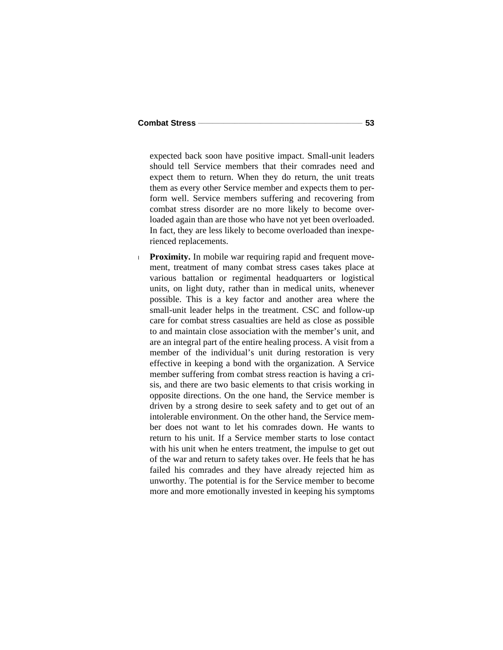expected back soon have positive impact. Small-unit leaders should tell Service members that their comrades need and expect them to return. When they do return, the unit treats them as every other Service member and expects them to perform well. Service members suffering and recovering from combat stress disorder are no more likely to become overloaded again than are those who have not yet been overloaded. In fact, they are less likely to become overloaded than inexperienced replacements.

**Proximity.** In mobile war requiring rapid and frequent movement, treatment of many combat stress cases takes place at various battalion or regimental headquarters or logistical units, on light duty, rather than in medical units, whenever possible. This is a key factor and another area where the small-unit leader helps in the treatment. CSC and follow-up care for combat stress casualties are held as close as possible to and maintain close association with the member's unit, and are an integral part of the entire healing process. A visit from a member of the individual's unit during restoration is very effective in keeping a bond with the organization. A Service member suffering from combat stress reaction is having a crisis, and there are two basic elements to that crisis working in opposite directions. On the one hand, the Service member is driven by a strong desire to seek safety and to get out of an intolerable environment. On the other hand, the Service member does not want to let his comrades down. He wants to return to his unit. If a Service member starts to lose contact with his unit when he enters treatment, the impulse to get out of the war and return to safety takes over. He feels that he has failed his comrades and they have already rejected him as unworthy. The potential is for the Service member to become more and more emotionally invested in keeping his symptoms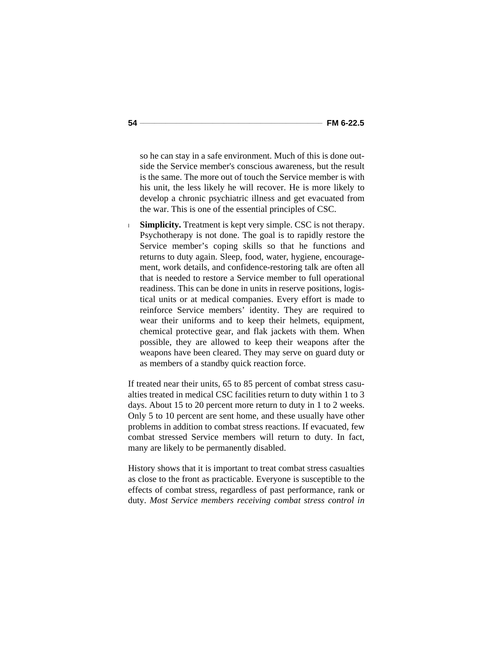so he can stay in a safe environment. Much of this is done outside the Service member's conscious awareness, but the result is the same. The more out of touch the Service member is with his unit, the less likely he will recover. He is more likely to develop a chronic psychiatric illness and get evacuated from the war. This is one of the essential principles of CSC.

**Simplicity.** Treatment is kept very simple. CSC is not therapy. Psychotherapy is not done. The goal is to rapidly restore the Service member's coping skills so that he functions and returns to duty again. Sleep, food, water, hygiene, encouragement, work details, and confidence-restoring talk are often all that is needed to restore a Service member to full operational readiness. This can be done in units in reserve positions, logistical units or at medical companies. Every effort is made to reinforce Service members' identity. They are required to wear their uniforms and to keep their helmets, equipment, chemical protective gear, and flak jackets with them. When possible, they are allowed to keep their weapons after the weapons have been cleared. They may serve on guard duty or as members of a standby quick reaction force.

If treated near their units, 65 to 85 percent of combat stress casualties treated in medical CSC facilities return to duty within 1 to 3 days. About 15 to 20 percent more return to duty in 1 to 2 weeks. Only 5 to 10 percent are sent home, and these usually have other problems in addition to combat stress reactions. If evacuated, few combat stressed Service members will return to duty. In fact, many are likely to be permanently disabled.

History shows that it is important to treat combat stress casualties as close to the front as practicable. Everyone is susceptible to the effects of combat stress, regardless of past performance, rank or duty. *Most Service members receiving combat stress control in*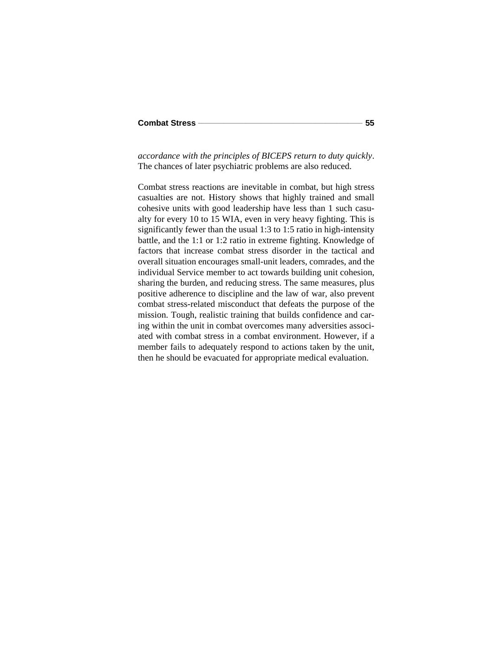#### **Combat Stress \_\_\_\_\_\_\_\_\_\_\_\_\_\_\_\_\_\_\_\_\_\_\_\_\_\_\_\_\_\_\_\_\_\_\_\_\_\_\_\_\_\_\_\_\_ 55**

*accordance with the principles of BICEPS return to duty quickly*. The chances of later psychiatric problems are also reduced.

Combat stress reactions are inevitable in combat, but high stress casualties are not. History shows that highly trained and small cohesive units with good leadership have less than 1 such casualty for every 10 to 15 WIA, even in very heavy fighting. This is significantly fewer than the usual 1:3 to 1:5 ratio in high-intensity battle, and the 1:1 or 1:2 ratio in extreme fighting. Knowledge of factors that increase combat stress disorder in the tactical and overall situation encourages small-unit leaders, comrades, and the individual Service member to act towards building unit cohesion, sharing the burden, and reducing stress. The same measures, plus positive adherence to discipline and the law of war, also prevent combat stress-related misconduct that defeats the purpose of the mission. Tough, realistic training that builds confidence and caring within the unit in combat overcomes many adversities associated with combat stress in a combat environment. However, if a member fails to adequately respond to actions taken by the unit, then he should be evacuated for appropriate medical evaluation.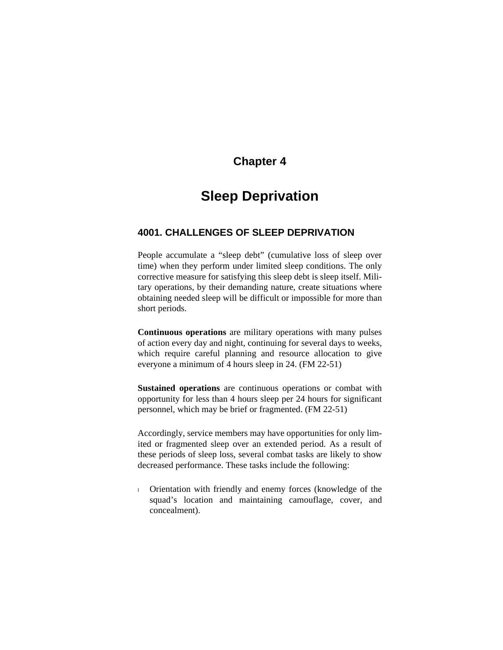# **Chapter 4**

# **Sleep Deprivation**

# **4001. CHALLENGES OF SLEEP DEPRIVATION**

People accumulate a "sleep debt" (cumulative loss of sleep over time) when they perform under limited sleep conditions. The only corrective measure for satisfying this sleep debt is sleep itself. Military operations, by their demanding nature, create situations where obtaining needed sleep will be difficult or impossible for more than short periods.

**Continuous operations** are military operations with many pulses of action every day and night, continuing for several days to weeks, which require careful planning and resource allocation to give everyone a minimum of 4 hours sleep in 24. (FM 22-51)

**Sustained operations** are continuous operations or combat with opportunity for less than 4 hours sleep per 24 hours for significant personnel, which may be brief or fragmented. (FM 22-51)

Accordingly, service members may have opportunities for only limited or fragmented sleep over an extended period. As a result of these periods of sleep loss, several combat tasks are likely to show decreased performance. These tasks include the following:

<sup>l</sup> Orientation with friendly and enemy forces (knowledge of the squad's location and maintaining camouflage, cover, and concealment).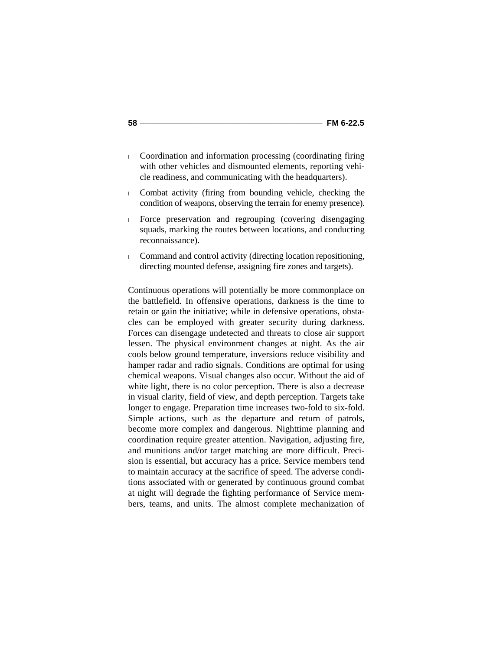- <sup>l</sup> Coordination and information processing (coordinating firing with other vehicles and dismounted elements, reporting vehicle readiness, and communicating with the headquarters).
- <sup>l</sup> Combat activity (firing from bounding vehicle, checking the condition of weapons, observing the terrain for enemy presence).
- <sup>l</sup> Force preservation and regrouping (covering disengaging squads, marking the routes between locations, and conducting reconnaissance).
- <sup>l</sup> Command and control activity (directing location repositioning, directing mounted defense, assigning fire zones and targets).

Continuous operations will potentially be more commonplace on the battlefield. In offensive operations, darkness is the time to retain or gain the initiative; while in defensive operations, obstacles can be employed with greater security during darkness. Forces can disengage undetected and threats to close air support lessen. The physical environment changes at night. As the air cools below ground temperature, inversions reduce visibility and hamper radar and radio signals. Conditions are optimal for using chemical weapons. Visual changes also occur. Without the aid of white light, there is no color perception. There is also a decrease in visual clarity, field of view, and depth perception. Targets take longer to engage. Preparation time increases two-fold to six-fold. Simple actions, such as the departure and return of patrols, become more complex and dangerous. Nighttime planning and coordination require greater attention. Navigation, adjusting fire, and munitions and/or target matching are more difficult. Precision is essential, but accuracy has a price. Service members tend to maintain accuracy at the sacrifice of speed. The adverse conditions associated with or generated by continuous ground combat at night will degrade the fighting performance of Service members, teams, and units. The almost complete mechanization of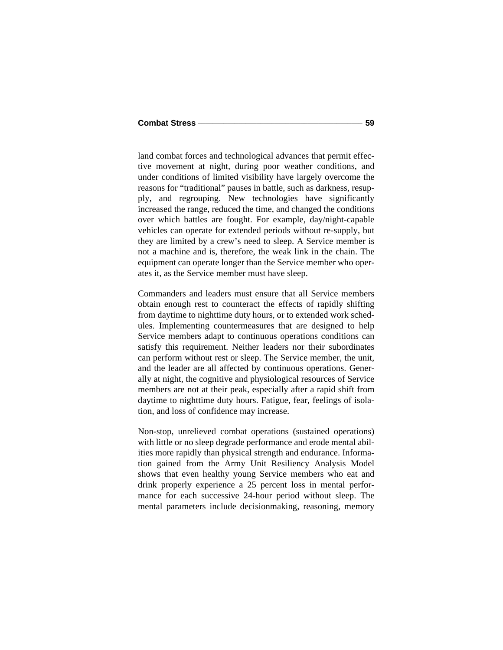land combat forces and technological advances that permit effective movement at night, during poor weather conditions, and under conditions of limited visibility have largely overcome the reasons for "traditional" pauses in battle, such as darkness, resupply, and regrouping. New technologies have significantly increased the range, reduced the time, and changed the conditions over which battles are fought. For example, day/night-capable vehicles can operate for extended periods without re-supply, but they are limited by a crew's need to sleep. A Service member is not a machine and is, therefore, the weak link in the chain. The equipment can operate longer than the Service member who operates it, as the Service member must have sleep.

Commanders and leaders must ensure that all Service members obtain enough rest to counteract the effects of rapidly shifting from daytime to nighttime duty hours, or to extended work schedules. Implementing countermeasures that are designed to help Service members adapt to continuous operations conditions can satisfy this requirement. Neither leaders nor their subordinates can perform without rest or sleep. The Service member, the unit, and the leader are all affected by continuous operations. Generally at night, the cognitive and physiological resources of Service members are not at their peak, especially after a rapid shift from daytime to nighttime duty hours. Fatigue, fear, feelings of isolation, and loss of confidence may increase.

Non-stop, unrelieved combat operations (sustained operations) with little or no sleep degrade performance and erode mental abilities more rapidly than physical strength and endurance. Information gained from the Army Unit Resiliency Analysis Model shows that even healthy young Service members who eat and drink properly experience a 25 percent loss in mental performance for each successive 24-hour period without sleep. The mental parameters include decisionmaking, reasoning, memory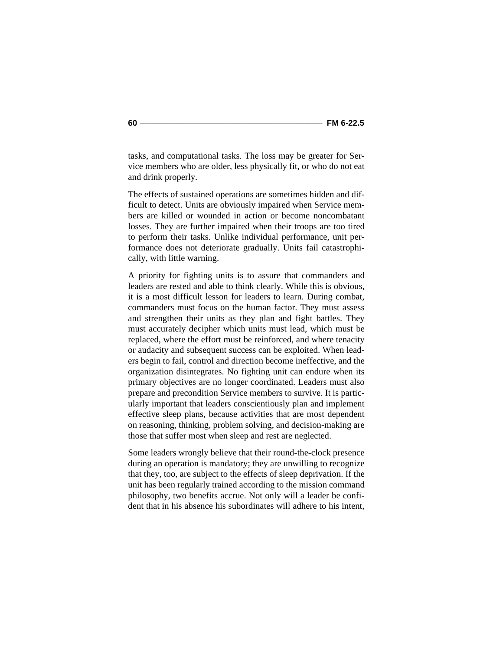tasks, and computational tasks. The loss may be greater for Service members who are older, less physically fit, or who do not eat and drink properly.

The effects of sustained operations are sometimes hidden and difficult to detect. Units are obviously impaired when Service members are killed or wounded in action or become noncombatant losses. They are further impaired when their troops are too tired to perform their tasks. Unlike individual performance, unit performance does not deteriorate gradually. Units fail catastrophically, with little warning.

A priority for fighting units is to assure that commanders and leaders are rested and able to think clearly. While this is obvious, it is a most difficult lesson for leaders to learn. During combat, commanders must focus on the human factor. They must assess and strengthen their units as they plan and fight battles. They must accurately decipher which units must lead, which must be replaced, where the effort must be reinforced, and where tenacity or audacity and subsequent success can be exploited. When leaders begin to fail, control and direction become ineffective, and the organization disintegrates. No fighting unit can endure when its primary objectives are no longer coordinated. Leaders must also prepare and precondition Service members to survive. It is particularly important that leaders conscientiously plan and implement effective sleep plans, because activities that are most dependent on reasoning, thinking, problem solving, and decision-making are those that suffer most when sleep and rest are neglected.

Some leaders wrongly believe that their round-the-clock presence during an operation is mandatory; they are unwilling to recognize that they, too, are subject to the effects of sleep deprivation. If the unit has been regularly trained according to the mission command philosophy, two benefits accrue. Not only will a leader be confident that in his absence his subordinates will adhere to his intent,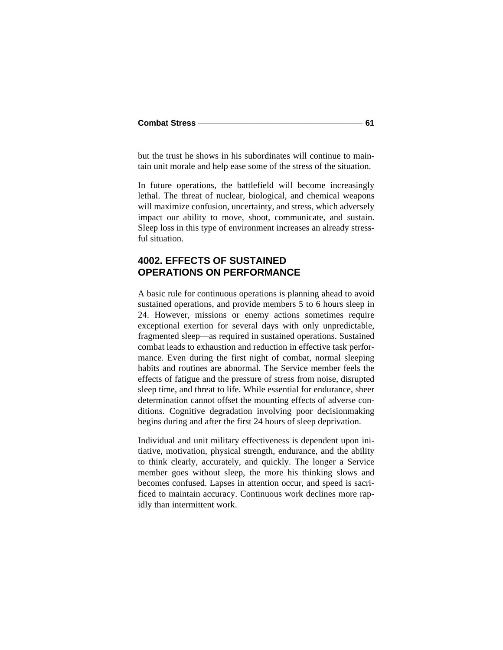but the trust he shows in his subordinates will continue to maintain unit morale and help ease some of the stress of the situation.

In future operations, the battlefield will become increasingly lethal. The threat of nuclear, biological, and chemical weapons will maximize confusion, uncertainty, and stress, which adversely impact our ability to move, shoot, communicate, and sustain. Sleep loss in this type of environment increases an already stressful situation.

# **4002. EFFECTS OF SUSTAINED OPERATIONS ON PERFORMANCE**

A basic rule for continuous operations is planning ahead to avoid sustained operations, and provide members 5 to 6 hours sleep in 24. However, missions or enemy actions sometimes require exceptional exertion for several days with only unpredictable, fragmented sleep—as required in sustained operations. Sustained combat leads to exhaustion and reduction in effective task performance. Even during the first night of combat, normal sleeping habits and routines are abnormal. The Service member feels the effects of fatigue and the pressure of stress from noise, disrupted sleep time, and threat to life. While essential for endurance, sheer determination cannot offset the mounting effects of adverse conditions. Cognitive degradation involving poor decisionmaking begins during and after the first 24 hours of sleep deprivation.

Individual and unit military effectiveness is dependent upon initiative, motivation, physical strength, endurance, and the ability to think clearly, accurately, and quickly. The longer a Service member goes without sleep, the more his thinking slows and becomes confused. Lapses in attention occur, and speed is sacrificed to maintain accuracy. Continuous work declines more rapidly than intermittent work.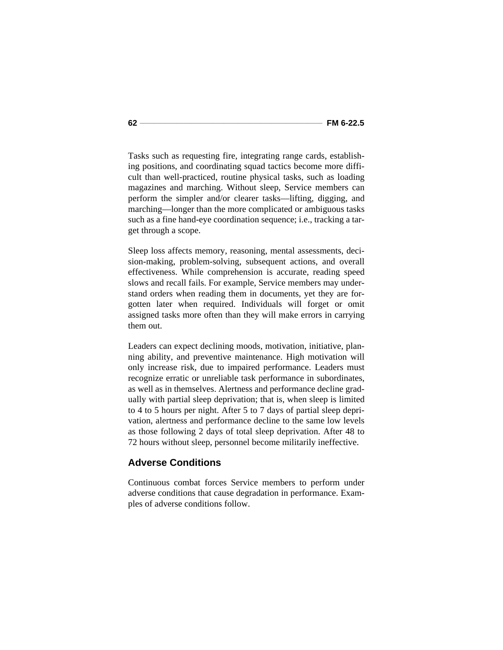Tasks such as requesting fire, integrating range cards, establishing positions, and coordinating squad tactics become more difficult than well-practiced, routine physical tasks, such as loading magazines and marching. Without sleep, Service members can perform the simpler and/or clearer tasks—lifting, digging, and marching—longer than the more complicated or ambiguous tasks such as a fine hand-eye coordination sequence; i.e., tracking a target through a scope.

Sleep loss affects memory, reasoning, mental assessments, decision-making, problem-solving, subsequent actions, and overall effectiveness. While comprehension is accurate, reading speed slows and recall fails. For example, Service members may understand orders when reading them in documents, yet they are forgotten later when required. Individuals will forget or omit assigned tasks more often than they will make errors in carrying them out.

Leaders can expect declining moods, motivation, initiative, planning ability, and preventive maintenance. High motivation will only increase risk, due to impaired performance. Leaders must recognize erratic or unreliable task performance in subordinates, as well as in themselves. Alertness and performance decline gradually with partial sleep deprivation; that is, when sleep is limited to 4 to 5 hours per night. After 5 to 7 days of partial sleep deprivation, alertness and performance decline to the same low levels as those following 2 days of total sleep deprivation. After 48 to 72 hours without sleep, personnel become militarily ineffective.

# **Adverse Conditions**

Continuous combat forces Service members to perform under adverse conditions that cause degradation in performance. Examples of adverse conditions follow.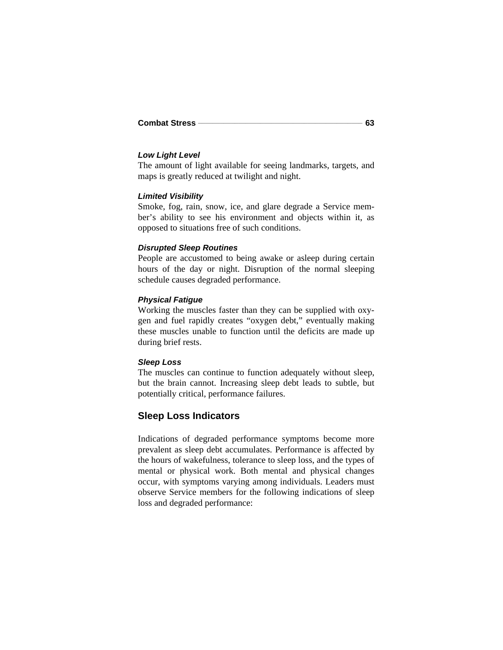#### *Low Light Level*

The amount of light available for seeing landmarks, targets, and maps is greatly reduced at twilight and night.

#### *Limited Visibility*

Smoke, fog, rain, snow, ice, and glare degrade a Service member's ability to see his environment and objects within it, as opposed to situations free of such conditions.

### *Disrupted Sleep Routines*

People are accustomed to being awake or asleep during certain hours of the day or night. Disruption of the normal sleeping schedule causes degraded performance.

### *Physical Fatigue*

Working the muscles faster than they can be supplied with oxygen and fuel rapidly creates "oxygen debt," eventually making these muscles unable to function until the deficits are made up during brief rests.

#### *Sleep Loss*

The muscles can continue to function adequately without sleep, but the brain cannot. Increasing sleep debt leads to subtle, but potentially critical, performance failures.

# **Sleep Loss Indicators**

Indications of degraded performance symptoms become more prevalent as sleep debt accumulates. Performance is affected by the hours of wakefulness, tolerance to sleep loss, and the types of mental or physical work. Both mental and physical changes occur, with symptoms varying among individuals. Leaders must observe Service members for the following indications of sleep loss and degraded performance: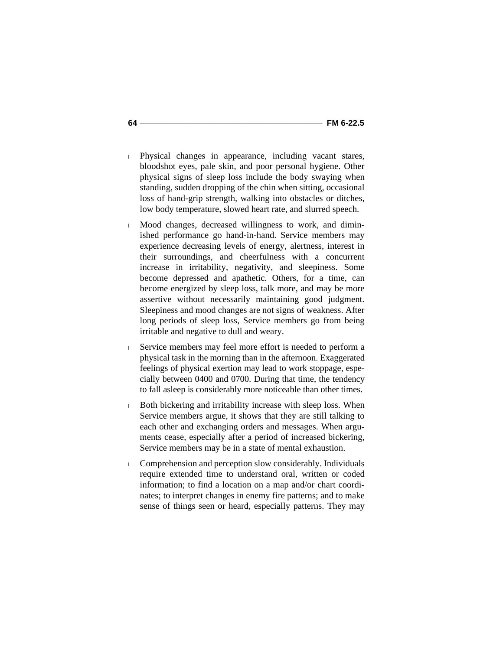- <sup>l</sup> Physical changes in appearance, including vacant stares, bloodshot eyes, pale skin, and poor personal hygiene. Other physical signs of sleep loss include the body swaying when standing, sudden dropping of the chin when sitting, occasional loss of hand-grip strength, walking into obstacles or ditches, low body temperature, slowed heart rate, and slurred speech.
- <sup>l</sup> Mood changes, decreased willingness to work, and diminished performance go hand-in-hand. Service members may experience decreasing levels of energy, alertness, interest in their surroundings, and cheerfulness with a concurrent increase in irritability, negativity, and sleepiness. Some become depressed and apathetic. Others, for a time, can become energized by sleep loss, talk more, and may be more assertive without necessarily maintaining good judgment. Sleepiness and mood changes are not signs of weakness. After long periods of sleep loss, Service members go from being irritable and negative to dull and weary.
- Service members may feel more effort is needed to perform a physical task in the morning than in the afternoon. Exaggerated feelings of physical exertion may lead to work stoppage, especially between 0400 and 0700. During that time, the tendency to fall asleep is considerably more noticeable than other times.
- <sup>l</sup> Both bickering and irritability increase with sleep loss. When Service members argue, it shows that they are still talking to each other and exchanging orders and messages. When arguments cease, especially after a period of increased bickering, Service members may be in a state of mental exhaustion.
- <sup>l</sup> Comprehension and perception slow considerably. Individuals require extended time to understand oral, written or coded information; to find a location on a map and/or chart coordinates; to interpret changes in enemy fire patterns; and to make sense of things seen or heard, especially patterns. They may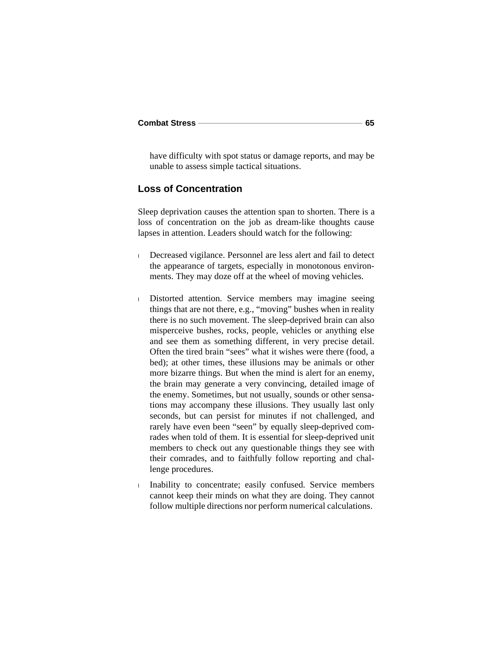have difficulty with spot status or damage reports, and may be unable to assess simple tactical situations.

### **Loss of Concentration**

Sleep deprivation causes the attention span to shorten. There is a loss of concentration on the job as dream-like thoughts cause lapses in attention. Leaders should watch for the following:

- <sup>l</sup> Decreased vigilance. Personnel are less alert and fail to detect the appearance of targets, especially in monotonous environments. They may doze off at the wheel of moving vehicles.
- <sup>l</sup> Distorted attention. Service members may imagine seeing things that are not there, e.g., "moving" bushes when in reality there is no such movement. The sleep-deprived brain can also misperceive bushes, rocks, people, vehicles or anything else and see them as something different, in very precise detail. Often the tired brain "sees" what it wishes were there (food, a bed); at other times, these illusions may be animals or other more bizarre things. But when the mind is alert for an enemy, the brain may generate a very convincing, detailed image of the enemy. Sometimes, but not usually, sounds or other sensations may accompany these illusions. They usually last only seconds, but can persist for minutes if not challenged, and rarely have even been "seen" by equally sleep-deprived comrades when told of them. It is essential for sleep-deprived unit members to check out any questionable things they see with their comrades, and to faithfully follow reporting and challenge procedures.
- <sup>l</sup> Inability to concentrate; easily confused. Service members cannot keep their minds on what they are doing. They cannot follow multiple directions nor perform numerical calculations.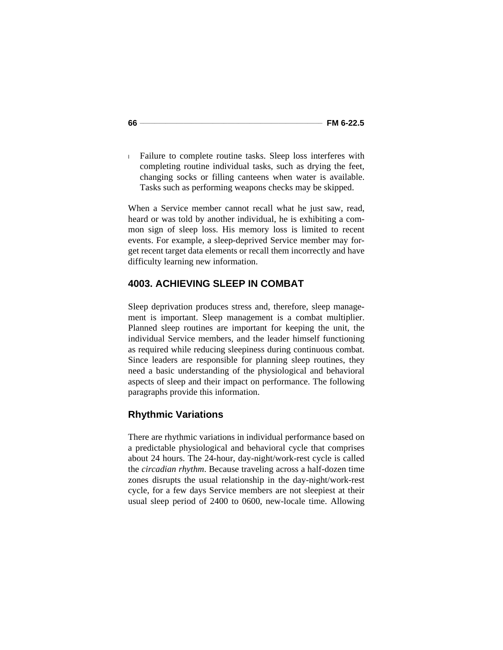<sup>l</sup> Failure to complete routine tasks. Sleep loss interferes with completing routine individual tasks, such as drying the feet, changing socks or filling canteens when water is available. Tasks such as performing weapons checks may be skipped.

When a Service member cannot recall what he just saw, read, heard or was told by another individual, he is exhibiting a common sign of sleep loss. His memory loss is limited to recent events. For example, a sleep-deprived Service member may forget recent target data elements or recall them incorrectly and have difficulty learning new information.

### **4003. ACHIEVING SLEEP IN COMBAT**

Sleep deprivation produces stress and, therefore, sleep management is important. Sleep management is a combat multiplier. Planned sleep routines are important for keeping the unit, the individual Service members, and the leader himself functioning as required while reducing sleepiness during continuous combat. Since leaders are responsible for planning sleep routines, they need a basic understanding of the physiological and behavioral aspects of sleep and their impact on performance. The following paragraphs provide this information.

### **Rhythmic Variations**

There are rhythmic variations in individual performance based on a predictable physiological and behavioral cycle that comprises about 24 hours. The 24-hour, day-night/work-rest cycle is called the *circadian rhythm*. Because traveling across a half-dozen time zones disrupts the usual relationship in the day-night/work-rest cycle, for a few days Service members are not sleepiest at their usual sleep period of 2400 to 0600, new-locale time. Allowing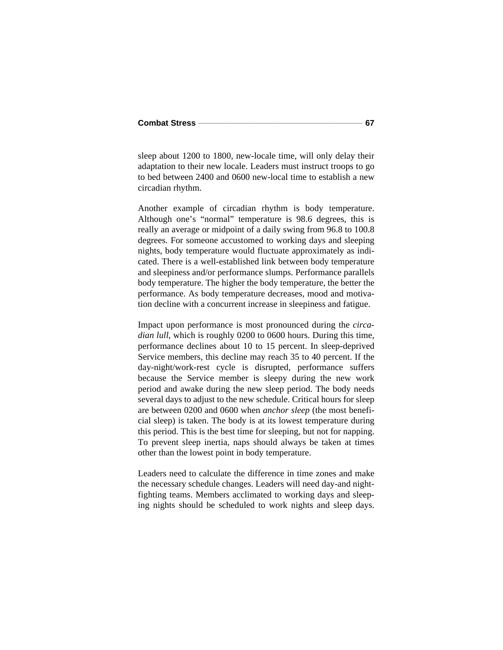sleep about 1200 to 1800, new-locale time, will only delay their adaptation to their new locale. Leaders must instruct troops to go to bed between 2400 and 0600 new-local time to establish a new circadian rhythm.

Another example of circadian rhythm is body temperature. Although one's "normal" temperature is 98.6 degrees, this is really an average or midpoint of a daily swing from 96.8 to 100.8 degrees. For someone accustomed to working days and sleeping nights, body temperature would fluctuate approximately as indicated. There is a well-established link between body temperature and sleepiness and/or performance slumps. Performance parallels body temperature. The higher the body temperature, the better the performance. As body temperature decreases, mood and motivation decline with a concurrent increase in sleepiness and fatigue.

Impact upon performance is most pronounced during the *circadian lull*, which is roughly 0200 to 0600 hours. During this time, performance declines about 10 to 15 percent. In sleep-deprived Service members, this decline may reach 35 to 40 percent. If the day-night/work-rest cycle is disrupted, performance suffers because the Service member is sleepy during the new work period and awake during the new sleep period. The body needs several days to adjust to the new schedule. Critical hours for sleep are between 0200 and 0600 when *anchor sleep* (the most beneficial sleep) is taken. The body is at its lowest temperature during this period. This is the best time for sleeping, but not for napping. To prevent sleep inertia, naps should always be taken at times other than the lowest point in body temperature.

Leaders need to calculate the difference in time zones and make the necessary schedule changes. Leaders will need day-and nightfighting teams. Members acclimated to working days and sleeping nights should be scheduled to work nights and sleep days.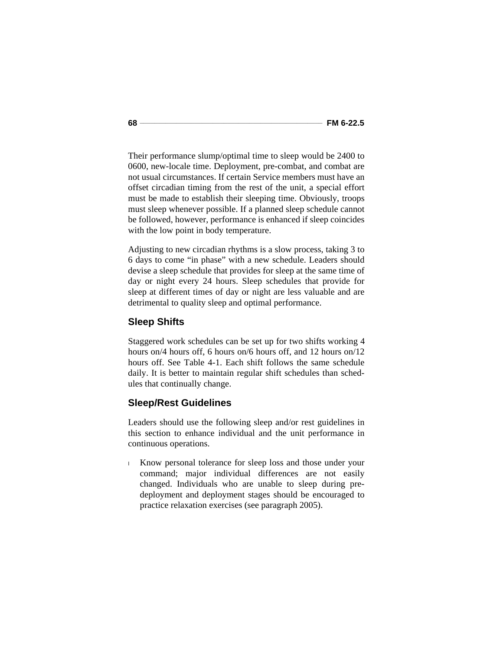Their performance slump/optimal time to sleep would be 2400 to 0600, new-locale time. Deployment, pre-combat, and combat are not usual circumstances. If certain Service members must have an offset circadian timing from the rest of the unit, a special effort must be made to establish their sleeping time. Obviously, troops must sleep whenever possible. If a planned sleep schedule cannot be followed, however, performance is enhanced if sleep coincides with the low point in body temperature.

Adjusting to new circadian rhythms is a slow process, taking 3 to 6 days to come "in phase" with a new schedule. Leaders should devise a sleep schedule that provides for sleep at the same time of day or night every 24 hours. Sleep schedules that provide for sleep at different times of day or night are less valuable and are detrimental to quality sleep and optimal performance.

### **Sleep Shifts**

Staggered work schedules can be set up for two shifts working 4 hours on/4 hours off, 6 hours on/6 hours off, and 12 hours on/12 hours off. See Table 4-1. Each shift follows the same schedule daily. It is better to maintain regular shift schedules than schedules that continually change.

### **Sleep/Rest Guidelines**

Leaders should use the following sleep and/or rest guidelines in this section to enhance individual and the unit performance in continuous operations.

<sup>l</sup> Know personal tolerance for sleep loss and those under your command; major individual differences are not easily changed. Individuals who are unable to sleep during predeployment and deployment stages should be encouraged to practice relaxation exercises (see paragraph 2005).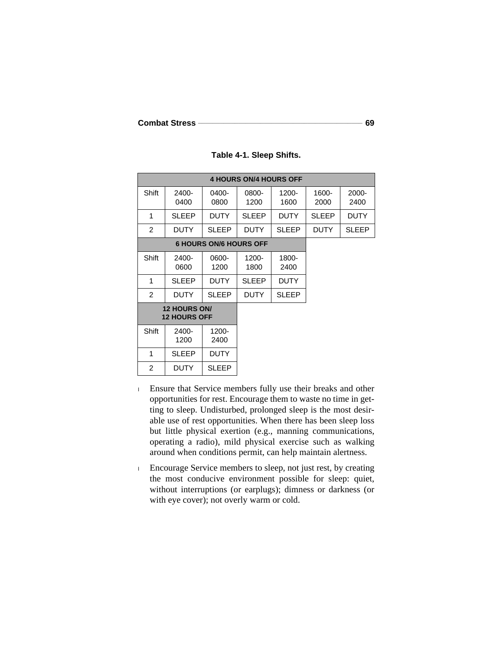| <b>4 HOURS ON/4 HOURS OFF</b>              |               |                               |               |               |               |               |
|--------------------------------------------|---------------|-------------------------------|---------------|---------------|---------------|---------------|
| Shift                                      | 2400-<br>0400 | 0400-<br>0800                 | 0800-<br>1200 | 1200-<br>1600 | 1600-<br>2000 | 2000-<br>2400 |
| 1                                          | <b>SLEEP</b>  | <b>DUTY</b>                   | <b>SLEEP</b>  | <b>DUTY</b>   | <b>SLEEP</b>  | <b>DUTY</b>   |
| 2                                          | <b>DUTY</b>   | <b>SLEEP</b>                  | <b>DUTY</b>   | <b>SLEEP</b>  | <b>DUTY</b>   | <b>SLEEP</b>  |
|                                            |               | <b>6 HOURS ON/6 HOURS OFF</b> |               |               |               |               |
| Shift                                      | 2400-<br>0600 | 0600-<br>1200                 | 1200-<br>1800 | 1800-<br>2400 |               |               |
| 1                                          | <b>SLEEP</b>  | <b>DUTY</b>                   | <b>SLEEP</b>  | <b>DUTY</b>   |               |               |
| $\overline{2}$                             | <b>DUTY</b>   | <b>SLEEP</b>                  | <b>DUTY</b>   | <b>SLEEP</b>  |               |               |
| <b>12 HOURS ON/</b><br><b>12 HOURS OFF</b> |               |                               |               |               |               |               |
| Shift                                      | 2400-<br>1200 | 1200-<br>2400                 |               |               |               |               |
| 1                                          | <b>SLEEP</b>  | <b>DUTY</b>                   |               |               |               |               |
| $\overline{c}$                             | <b>DUTY</b>   | <b>SLEEP</b>                  |               |               |               |               |

### **Table 4-1. Sleep Shifts.**

- <sup>l</sup> Ensure that Service members fully use their breaks and other opportunities for rest. Encourage them to waste no time in getting to sleep. Undisturbed, prolonged sleep is the most desirable use of rest opportunities. When there has been sleep loss but little physical exertion (e.g., manning communications, operating a radio), mild physical exercise such as walking around when conditions permit, can help maintain alertness.
- <sup>l</sup> Encourage Service members to sleep, not just rest, by creating the most conducive environment possible for sleep: quiet, without interruptions (or earplugs); dimness or darkness (or with eye cover); not overly warm or cold.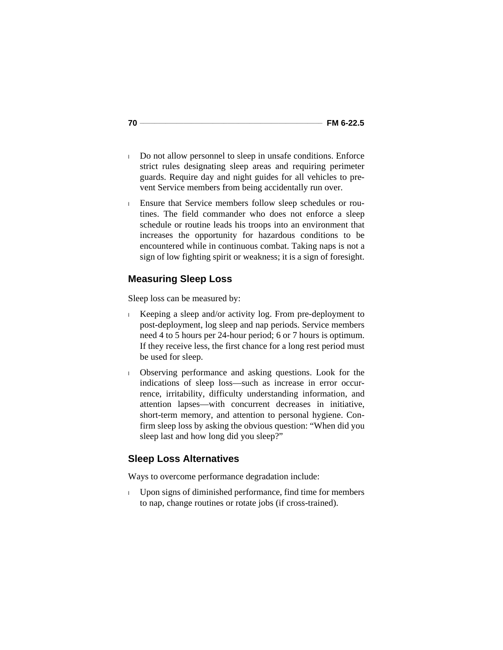- <sup>l</sup> Do not allow personnel to sleep in unsafe conditions. Enforce strict rules designating sleep areas and requiring perimeter guards. Require day and night guides for all vehicles to prevent Service members from being accidentally run over.
- <sup>l</sup> Ensure that Service members follow sleep schedules or routines. The field commander who does not enforce a sleep schedule or routine leads his troops into an environment that increases the opportunity for hazardous conditions to be encountered while in continuous combat. Taking naps is not a sign of low fighting spirit or weakness; it is a sign of foresight.

### **Measuring Sleep Loss**

Sleep loss can be measured by:

- <sup>l</sup> Keeping a sleep and/or activity log. From pre-deployment to post-deployment, log sleep and nap periods. Service members need 4 to 5 hours per 24-hour period; 6 or 7 hours is optimum. If they receive less, the first chance for a long rest period must be used for sleep.
- <sup>l</sup> Observing performance and asking questions. Look for the indications of sleep loss—such as increase in error occurrence, irritability, difficulty understanding information, and attention lapses—with concurrent decreases in initiative, short-term memory, and attention to personal hygiene. Confirm sleep loss by asking the obvious question: "When did you sleep last and how long did you sleep?"

### **Sleep Loss Alternatives**

Ways to overcome performance degradation include:

<sup>l</sup> Upon signs of diminished performance, find time for members to nap, change routines or rotate jobs (if cross-trained).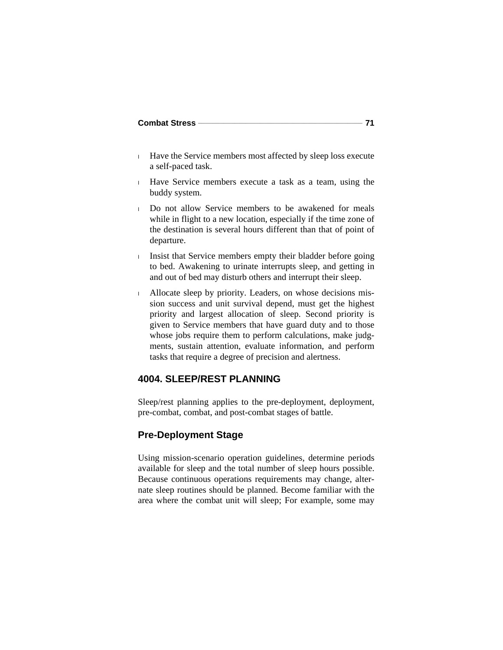- <sup>l</sup> Have the Service members most affected by sleep loss execute a self-paced task.
- <sup>l</sup> Have Service members execute a task as a team, using the buddy system.
- <sup>l</sup> Do not allow Service members to be awakened for meals while in flight to a new location, especially if the time zone of the destination is several hours different than that of point of departure.
- <sup>l</sup> Insist that Service members empty their bladder before going to bed. Awakening to urinate interrupts sleep, and getting in and out of bed may disturb others and interrupt their sleep.
- <sup>l</sup> Allocate sleep by priority. Leaders, on whose decisions mission success and unit survival depend, must get the highest priority and largest allocation of sleep. Second priority is given to Service members that have guard duty and to those whose jobs require them to perform calculations, make judgments, sustain attention, evaluate information, and perform tasks that require a degree of precision and alertness.

### **4004. SLEEP/REST PLANNING**

Sleep/rest planning applies to the pre-deployment, deployment, pre-combat, combat, and post-combat stages of battle.

### **Pre-Deployment Stage**

Using mission-scenario operation guidelines, determine periods available for sleep and the total number of sleep hours possible. Because continuous operations requirements may change, alternate sleep routines should be planned. Become familiar with the area where the combat unit will sleep; For example, some may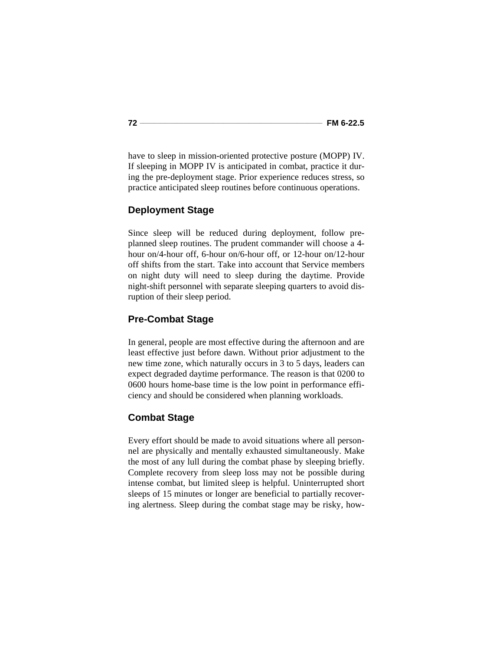have to sleep in mission-oriented protective posture (MOPP) IV. If sleeping in MOPP IV is anticipated in combat, practice it during the pre-deployment stage. Prior experience reduces stress, so practice anticipated sleep routines before continuous operations.

### **Deployment Stage**

Since sleep will be reduced during deployment, follow preplanned sleep routines. The prudent commander will choose a 4 hour on/4-hour off, 6-hour on/6-hour off, or 12-hour on/12-hour off shifts from the start. Take into account that Service members on night duty will need to sleep during the daytime. Provide night-shift personnel with separate sleeping quarters to avoid disruption of their sleep period.

### **Pre-Combat Stage**

In general, people are most effective during the afternoon and are least effective just before dawn. Without prior adjustment to the new time zone, which naturally occurs in 3 to 5 days, leaders can expect degraded daytime performance. The reason is that 0200 to 0600 hours home-base time is the low point in performance efficiency and should be considered when planning workloads.

#### **Combat Stage**

Every effort should be made to avoid situations where all personnel are physically and mentally exhausted simultaneously. Make the most of any lull during the combat phase by sleeping briefly. Complete recovery from sleep loss may not be possible during intense combat, but limited sleep is helpful. Uninterrupted short sleeps of 15 minutes or longer are beneficial to partially recovering alertness. Sleep during the combat stage may be risky, how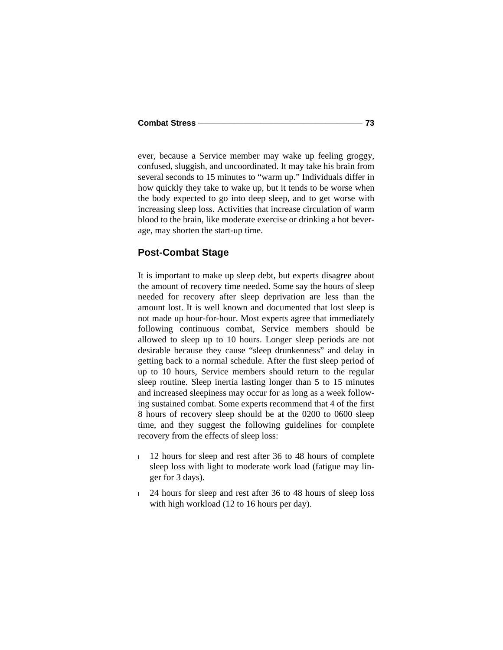ever, because a Service member may wake up feeling groggy, confused, sluggish, and uncoordinated. It may take his brain from several seconds to 15 minutes to "warm up." Individuals differ in how quickly they take to wake up, but it tends to be worse when the body expected to go into deep sleep, and to get worse with increasing sleep loss. Activities that increase circulation of warm blood to the brain, like moderate exercise or drinking a hot beverage, may shorten the start-up time.

### **Post-Combat Stage**

It is important to make up sleep debt, but experts disagree about the amount of recovery time needed. Some say the hours of sleep needed for recovery after sleep deprivation are less than the amount lost. It is well known and documented that lost sleep is not made up hour-for-hour. Most experts agree that immediately following continuous combat, Service members should be allowed to sleep up to 10 hours. Longer sleep periods are not desirable because they cause "sleep drunkenness" and delay in getting back to a normal schedule. After the first sleep period of up to 10 hours, Service members should return to the regular sleep routine. Sleep inertia lasting longer than 5 to 15 minutes and increased sleepiness may occur for as long as a week following sustained combat. Some experts recommend that 4 of the first 8 hours of recovery sleep should be at the 0200 to 0600 sleep time, and they suggest the following guidelines for complete recovery from the effects of sleep loss:

- <sup>l</sup> 12 hours for sleep and rest after 36 to 48 hours of complete sleep loss with light to moderate work load (fatigue may linger for 3 days).
- <sup>l</sup> 24 hours for sleep and rest after 36 to 48 hours of sleep loss with high workload (12 to 16 hours per day).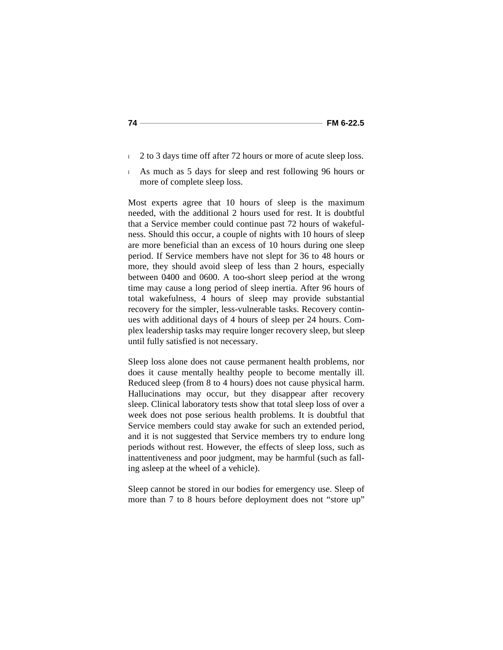- <sup>l</sup> 2 to 3 days time off after 72 hours or more of acute sleep loss.
- <sup>l</sup> As much as 5 days for sleep and rest following 96 hours or more of complete sleep loss.

Most experts agree that 10 hours of sleep is the maximum needed, with the additional 2 hours used for rest. It is doubtful that a Service member could continue past 72 hours of wakefulness. Should this occur, a couple of nights with 10 hours of sleep are more beneficial than an excess of 10 hours during one sleep period. If Service members have not slept for 36 to 48 hours or more, they should avoid sleep of less than 2 hours, especially between 0400 and 0600. A too-short sleep period at the wrong time may cause a long period of sleep inertia. After 96 hours of total wakefulness, 4 hours of sleep may provide substantial recovery for the simpler, less-vulnerable tasks. Recovery continues with additional days of 4 hours of sleep per 24 hours. Complex leadership tasks may require longer recovery sleep, but sleep until fully satisfied is not necessary.

Sleep loss alone does not cause permanent health problems, nor does it cause mentally healthy people to become mentally ill. Reduced sleep (from 8 to 4 hours) does not cause physical harm. Hallucinations may occur, but they disappear after recovery sleep. Clinical laboratory tests show that total sleep loss of over a week does not pose serious health problems. It is doubtful that Service members could stay awake for such an extended period, and it is not suggested that Service members try to endure long periods without rest. However, the effects of sleep loss, such as inattentiveness and poor judgment, may be harmful (such as falling asleep at the wheel of a vehicle).

Sleep cannot be stored in our bodies for emergency use. Sleep of more than 7 to 8 hours before deployment does not "store up"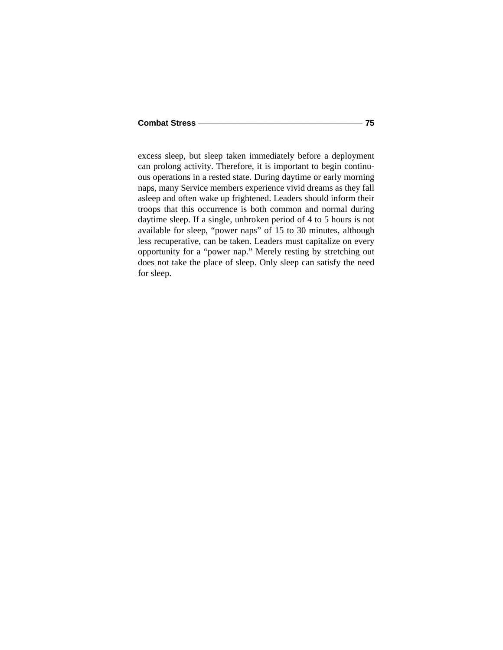excess sleep, but sleep taken immediately before a deployment can prolong activity. Therefore, it is important to begin continuous operations in a rested state. During daytime or early morning naps, many Service members experience vivid dreams as they fall asleep and often wake up frightened. Leaders should inform their troops that this occurrence is both common and normal during daytime sleep. If a single, unbroken period of 4 to 5 hours is not available for sleep, "power naps" of 15 to 30 minutes, although less recuperative, can be taken. Leaders must capitalize on every opportunity for a "power nap." Merely resting by stretching out does not take the place of sleep. Only sleep can satisfy the need for sleep.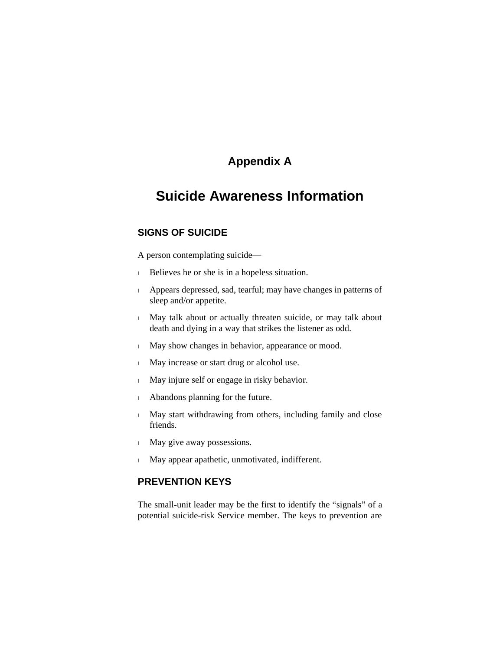### **Appendix A**

### **Suicide Awareness Information**

### **SIGNS OF SUICIDE**

A person contemplating suicide—

- <sup>l</sup> Believes he or she is in a hopeless situation.
- <sup>l</sup> Appears depressed, sad, tearful; may have changes in patterns of sleep and/or appetite.
- <sup>l</sup> May talk about or actually threaten suicide, or may talk about death and dying in a way that strikes the listener as odd.
- l May show changes in behavior, appearance or mood.
- <sup>l</sup> May increase or start drug or alcohol use.
- <sup>l</sup> May injure self or engage in risky behavior.
- <sup>l</sup> Abandons planning for the future.
- <sup>l</sup> May start withdrawing from others, including family and close friends.
- <sup>l</sup> May give away possessions.
- <sup>l</sup> May appear apathetic, unmotivated, indifferent.

### **PREVENTION KEYS**

The small-unit leader may be the first to identify the "signals" of a potential suicide-risk Service member. The keys to prevention are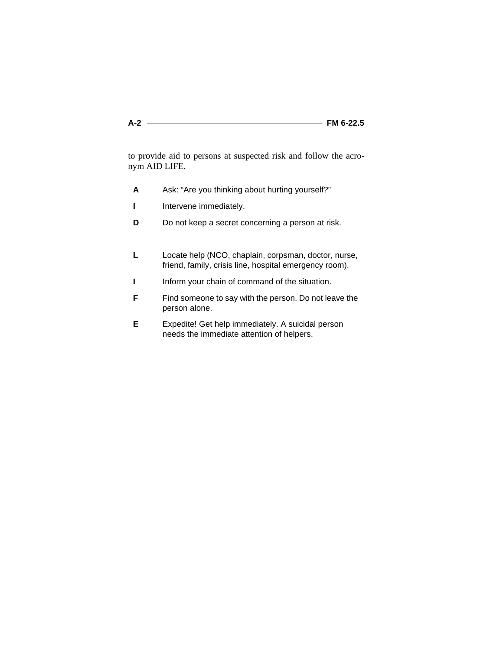to provide aid to persons at suspected risk and follow the acronym AID LIFE.

- **A** Ask: "Are you thinking about hurting yourself?"
- **I** Intervene immediately.
- **D** Do not keep a secret concerning a person at risk.
- **L** Locate help (NCO, chaplain, corpsman, doctor, nurse, friend, family, crisis line, hospital emergency room).
- **I** Inform your chain of command of the situation.
- **F** Find someone to say with the person. Do not leave the person alone.
- **E** Expedite! Get help immediately. A suicidal person needs the immediate attention of helpers.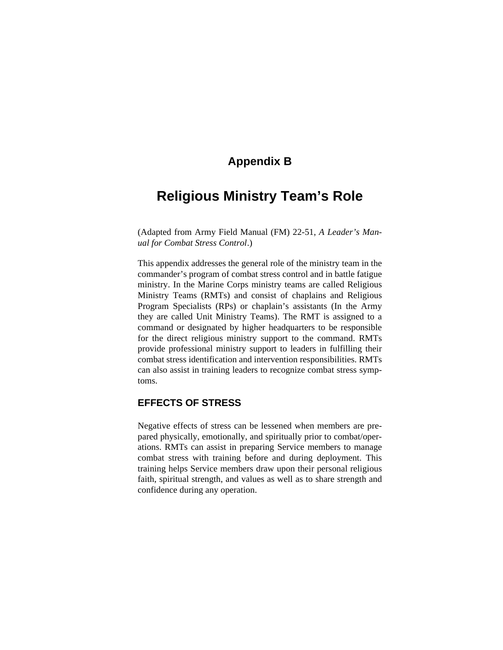### **Appendix B**

### **Religious Ministry Team's Role**

(Adapted from Army Field Manual (FM) 22-51, *A Leader's Manual for Combat Stress Control*.)

This appendix addresses the general role of the ministry team in the commander's program of combat stress control and in battle fatigue ministry. In the Marine Corps ministry teams are called Religious Ministry Teams (RMTs) and consist of chaplains and Religious Program Specialists (RPs) or chaplain's assistants (In the Army they are called Unit Ministry Teams). The RMT is assigned to a command or designated by higher headquarters to be responsible for the direct religious ministry support to the command. RMTs provide professional ministry support to leaders in fulfilling their combat stress identification and intervention responsibilities. RMTs can also assist in training leaders to recognize combat stress symptoms.

### **EFFECTS OF STRESS**

Negative effects of stress can be lessened when members are prepared physically, emotionally, and spiritually prior to combat/operations. RMTs can assist in preparing Service members to manage combat stress with training before and during deployment. This training helps Service members draw upon their personal religious faith, spiritual strength, and values as well as to share strength and confidence during any operation.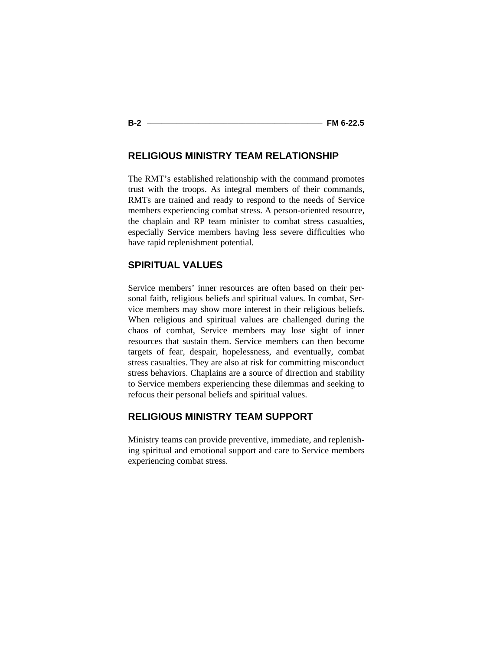### **RELIGIOUS MINISTRY TEAM RELATIONSHIP**

The RMT's established relationship with the command promotes trust with the troops. As integral members of their commands, RMTs are trained and ready to respond to the needs of Service members experiencing combat stress. A person-oriented resource, the chaplain and RP team minister to combat stress casualties, especially Service members having less severe difficulties who have rapid replenishment potential.

#### **SPIRITUAL VALUES**

Service members' inner resources are often based on their personal faith, religious beliefs and spiritual values. In combat, Service members may show more interest in their religious beliefs. When religious and spiritual values are challenged during the chaos of combat, Service members may lose sight of inner resources that sustain them. Service members can then become targets of fear, despair, hopelessness, and eventually, combat stress casualties. They are also at risk for committing misconduct stress behaviors. Chaplains are a source of direction and stability to Service members experiencing these dilemmas and seeking to refocus their personal beliefs and spiritual values.

### **RELIGIOUS MINISTRY TEAM SUPPORT**

Ministry teams can provide preventive, immediate, and replenishing spiritual and emotional support and care to Service members experiencing combat stress.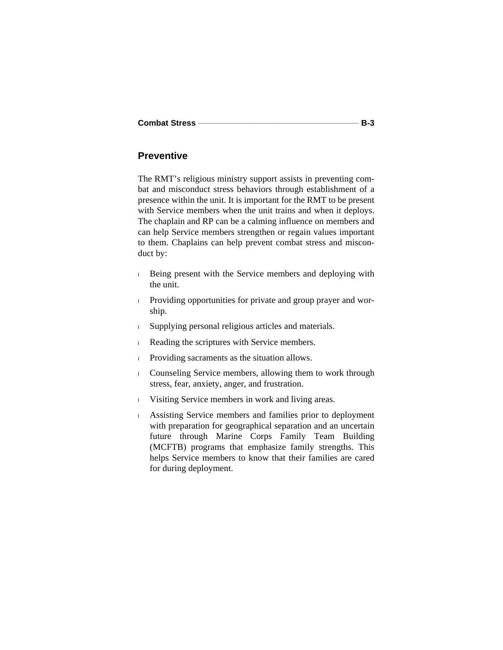### **Preventive**

The RMT's religious ministry support assists in preventing combat and misconduct stress behaviors through establishment of a presence within the unit. It is important for the RMT to be present with Service members when the unit trains and when it deploys. The chaplain and RP can be a calming influence on members and can help Service members strengthen or regain values important to them. Chaplains can help prevent combat stress and misconduct by:

- <sup>l</sup> Being present with the Service members and deploying with the unit.
- <sup>l</sup> Providing opportunities for private and group prayer and worship.
- <sup>l</sup> Supplying personal religious articles and materials.
- <sup>l</sup> Reading the scriptures with Service members.
- <sup>l</sup> Providing sacraments as the situation allows.
- <sup>l</sup> Counseling Service members, allowing them to work through stress, fear, anxiety, anger, and frustration.
- <sup>l</sup> Visiting Service members in work and living areas.
- <sup>l</sup> Assisting Service members and families prior to deployment with preparation for geographical separation and an uncertain future through Marine Corps Family Team Building (MCFTB) programs that emphasize family strengths. This helps Service members to know that their families are cared for during deployment.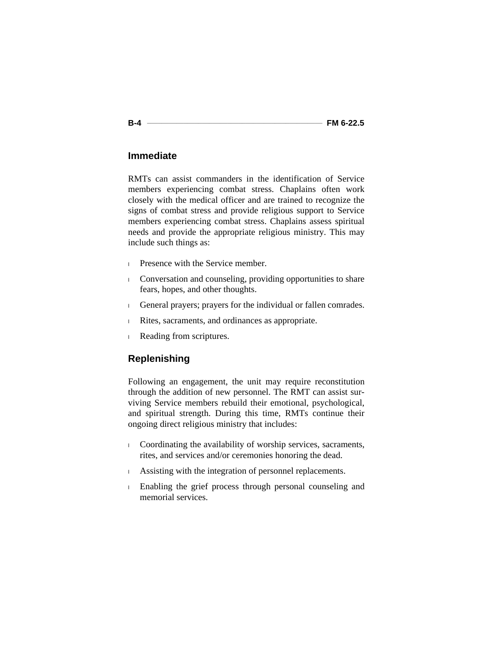### **Immediate**

RMTs can assist commanders in the identification of Service members experiencing combat stress. Chaplains often work closely with the medical officer and are trained to recognize the signs of combat stress and provide religious support to Service members experiencing combat stress. Chaplains assess spiritual needs and provide the appropriate religious ministry. This may include such things as:

- **Presence with the Service member.**
- <sup>l</sup> Conversation and counseling, providing opportunities to share fears, hopes, and other thoughts.
- <sup>l</sup> General prayers; prayers for the individual or fallen comrades.
- <sup>l</sup> Rites, sacraments, and ordinances as appropriate.
- <sup>l</sup> Reading from scriptures.

### **Replenishing**

Following an engagement, the unit may require reconstitution through the addition of new personnel. The RMT can assist surviving Service members rebuild their emotional, psychological, and spiritual strength. During this time, RMTs continue their ongoing direct religious ministry that includes:

- <sup>l</sup> Coordinating the availability of worship services, sacraments, rites, and services and/or ceremonies honoring the dead.
- <sup>l</sup> Assisting with the integration of personnel replacements.
- <sup>l</sup> Enabling the grief process through personal counseling and memorial services.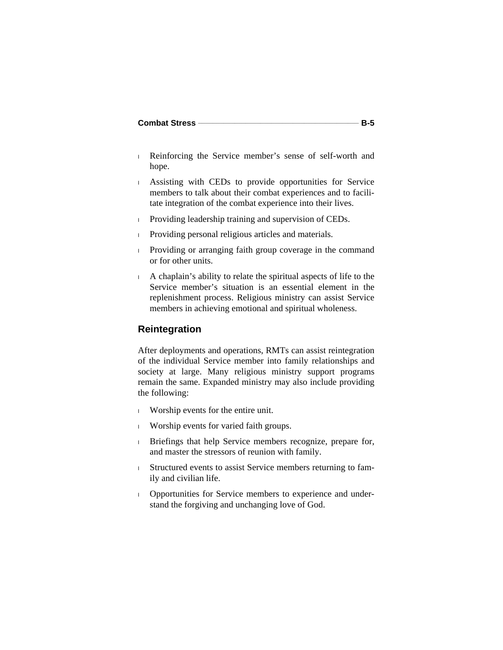- <sup>l</sup> Reinforcing the Service member's sense of self-worth and hope.
- <sup>l</sup> Assisting with CEDs to provide opportunities for Service members to talk about their combat experiences and to facilitate integration of the combat experience into their lives.
- <sup>l</sup> Providing leadership training and supervision of CEDs.
- <sup>l</sup> Providing personal religious articles and materials.
- <sup>l</sup> Providing or arranging faith group coverage in the command or for other units.
- $\overline{A}$  A chaplain's ability to relate the spiritual aspects of life to the Service member's situation is an essential element in the replenishment process. Religious ministry can assist Service members in achieving emotional and spiritual wholeness.

### **Reintegration**

After deployments and operations, RMTs can assist reintegration of the individual Service member into family relationships and society at large. Many religious ministry support programs remain the same. Expanded ministry may also include providing the following:

- <sup>l</sup> Worship events for the entire unit.
- <sup>l</sup> Worship events for varied faith groups.
- <sup>l</sup> Briefings that help Service members recognize, prepare for, and master the stressors of reunion with family.
- <sup>l</sup> Structured events to assist Service members returning to family and civilian life.
- <sup>l</sup> Opportunities for Service members to experience and understand the forgiving and unchanging love of God.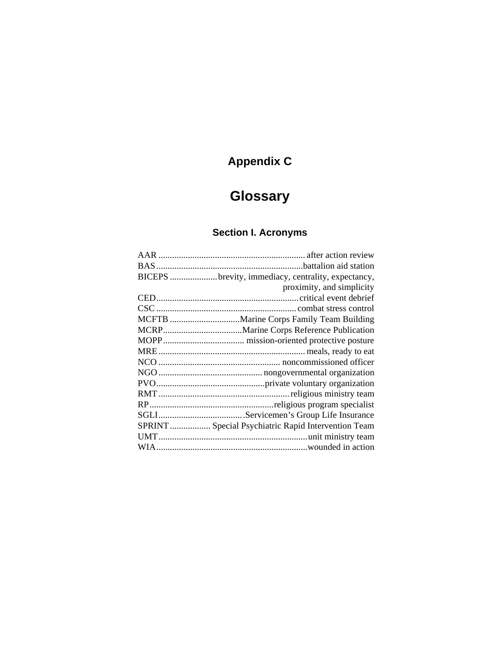# **Appendix C**

# **Glossary**

## **Section I. Acronyms**

| BICEPS brevity, immediacy, centrality, expectancy,  |
|-----------------------------------------------------|
| proximity, and simplicity                           |
|                                                     |
|                                                     |
|                                                     |
|                                                     |
|                                                     |
|                                                     |
|                                                     |
|                                                     |
|                                                     |
|                                                     |
|                                                     |
|                                                     |
| SPRINT  Special Psychiatric Rapid Intervention Team |
|                                                     |
|                                                     |
|                                                     |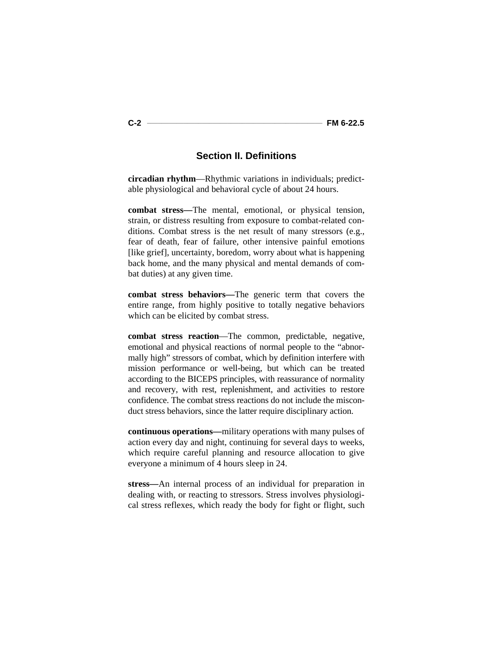### **Section II. Definitions**

**circadian rhythm**—Rhythmic variations in individuals; predictable physiological and behavioral cycle of about 24 hours.

**combat stress***—*The mental, emotional, or physical tension, strain, or distress resulting from exposure to combat-related conditions. Combat stress is the net result of many stressors (e.g., fear of death, fear of failure, other intensive painful emotions [like grief], uncertainty, boredom, worry about what is happening back home, and the many physical and mental demands of combat duties) at any given time.

**combat stress behaviors—**The generic term that covers the entire range, from highly positive to totally negative behaviors which can be elicited by combat stress.

**combat stress reaction**—The common, predictable, negative, emotional and physical reactions of normal people to the "abnormally high" stressors of combat, which by definition interfere with mission performance or well-being, but which can be treated according to the BICEPS principles, with reassurance of normality and recovery, with rest, replenishment, and activities to restore confidence. The combat stress reactions do not include the misconduct stress behaviors, since the latter require disciplinary action.

**continuous operations—**military operations with many pulses of action every day and night, continuing for several days to weeks, which require careful planning and resource allocation to give everyone a minimum of 4 hours sleep in 24.

**stress—**An internal process of an individual for preparation in dealing with, or reacting to stressors. Stress involves physiological stress reflexes, which ready the body for fight or flight, such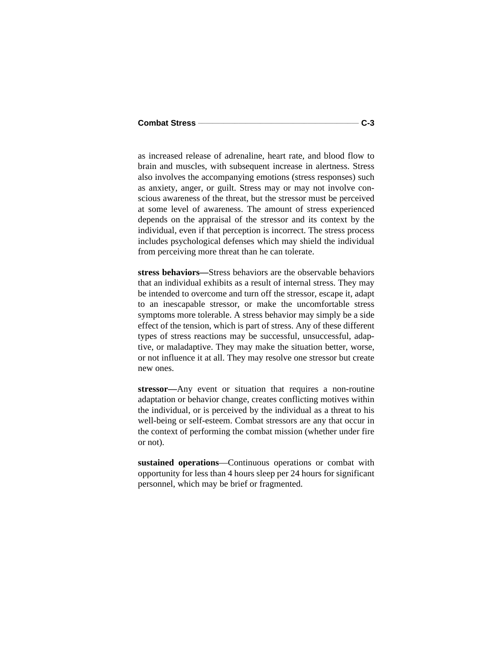as increased release of adrenaline, heart rate, and blood flow to brain and muscles, with subsequent increase in alertness. Stress also involves the accompanying emotions (stress responses) such as anxiety, anger, or guilt. Stress may or may not involve conscious awareness of the threat, but the stressor must be perceived at some level of awareness. The amount of stress experienced depends on the appraisal of the stressor and its context by the individual, even if that perception is incorrect. The stress process includes psychological defenses which may shield the individual from perceiving more threat than he can tolerate.

**stress behaviors—**Stress behaviors are the observable behaviors that an individual exhibits as a result of internal stress. They may be intended to overcome and turn off the stressor, escape it, adapt to an inescapable stressor, or make the uncomfortable stress symptoms more tolerable. A stress behavior may simply be a side effect of the tension, which is part of stress. Any of these different types of stress reactions may be successful, unsuccessful, adaptive, or maladaptive. They may make the situation better, worse, or not influence it at all. They may resolve one stressor but create new ones.

**stressor—**Any event or situation that requires a non-routine adaptation or behavior change, creates conflicting motives within the individual, or is perceived by the individual as a threat to his well-being or self-esteem. Combat stressors are any that occur in the context of performing the combat mission (whether under fire or not).

**sustained operations**—Continuous operations or combat with opportunity for less than 4 hours sleep per 24 hours for significant personnel, which may be brief or fragmented.